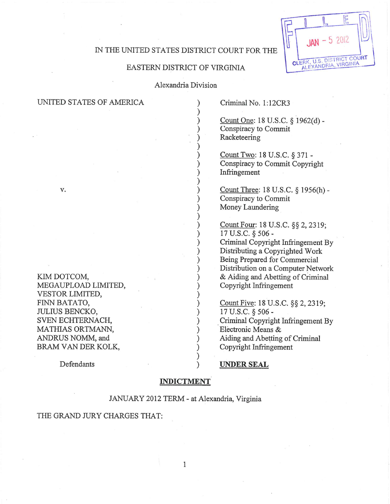# IN THE UNITED STATES DISTRICT COURT FOR THE

F

 $2012$ 

CLERK, U.S. DISTRICT COURT

# EASTERN DISTRICT OF VIRGINIA

Alexandria Division

| UNITED STATES OF AMERICA                              | Criminal No. 1:12CR3                                                                                                                         |
|-------------------------------------------------------|----------------------------------------------------------------------------------------------------------------------------------------------|
|                                                       | Count One: 18 U.S.C. § 1962(d) -<br>Conspiracy to Commit<br>Racketeering                                                                     |
|                                                       | Count Two: 18 U.S.C. § 371 -<br>Conspiracy to Commit Copyright<br>Infringement                                                               |
| V.                                                    | Count Three: 18 U.S.C. § 1956(h) -<br>Conspiracy to Commit<br>Money Laundering                                                               |
|                                                       | Count Four: 18 U.S.C. §§ 2, 2319;<br>17 U.S.C. § 506 -                                                                                       |
|                                                       | Criminal Copyright Infringement By<br>Distributing a Copyrighted Work<br>Being Prepared for Commercial<br>Distribution on a Computer Network |
| KIM DOTCOM,<br>MEGAUPLOAD LIMITED,<br>VESTOR LIMITED, | & Aiding and Abetting of Criminal<br>Copyright Infringement                                                                                  |
| FINN BATATO,<br><b>JULIUS BENCKO,</b>                 | Count Five: 18 U.S.C. §§ 2, 2319;<br>17 U.S.C. § 506 -                                                                                       |
| SVEN ECHTERNACH,<br>MATHIAS ORTMANN,                  | Criminal Copyright Infringement By<br>Electronic Means &                                                                                     |
| ANDRUS NOMM, and<br>BRAM VAN DER KOLK,                | Aiding and Abetting of Criminal<br>Copyright Infringement                                                                                    |
| Defendants                                            | <b>IINDER SEAL</b>                                                                                                                           |

### **INDICTMENT**

# JANUARY 2012 TERM - at Alexandria, Virginia

## THE GRAND JURY CHARGES THAT: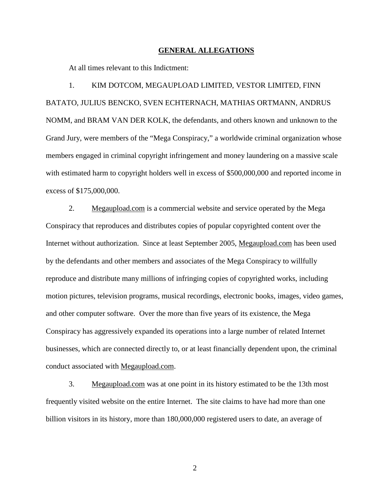#### **GENERAL ALLEGATIONS**

At all times relevant to this Indictment:

1. KIM DOTCOM, MEGAUPLOAD LIMITED, VESTOR LIMITED, FINN BATATO, JULIUS BENCKO, SVEN ECHTERNACH, MATHIAS ORTMANN, ANDRUS NOMM, and BRAM VAN DER KOLK, the defendants, and others known and unknown to the Grand Jury, were members of the "Mega Conspiracy," a worldwide criminal organization whose members engaged in criminal copyright infringement and money laundering on a massive scale with estimated harm to copyright holders well in excess of \$500,000,000 and reported income in excess of \$175,000,000.

2. Megaupload.com is a commercial website and service operated by the Mega Conspiracy that reproduces and distributes copies of popular copyrighted content over the Internet without authorization. Since at least September 2005, Megaupload.com has been used by the defendants and other members and associates of the Mega Conspiracy to willfully reproduce and distribute many millions of infringing copies of copyrighted works, including motion pictures, television programs, musical recordings, electronic books, images, video games, and other computer software. Over the more than five years of its existence, the Mega Conspiracy has aggressively expanded its operations into a large number of related Internet businesses, which are connected directly to, or at least financially dependent upon, the criminal conduct associated with Megaupload.com.

3. Megaupload.com was at one point in its history estimated to be the 13th most frequently visited website on the entire Internet. The site claims to have had more than one billion visitors in its history, more than 180,000,000 registered users to date, an average of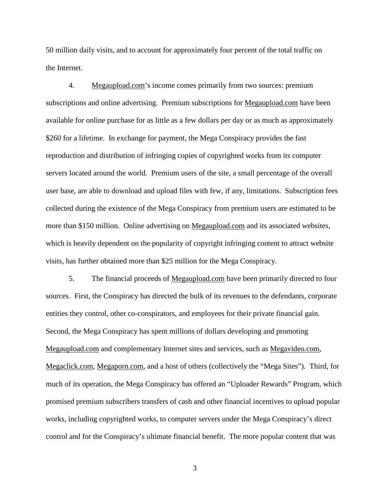50 million daily visits, and to account for approximately four percent of the total traffic on the Internet.

4. Megaupload.com's income comes primarily from two sources: premium subscriptions and online advertising. Premium subscriptions for Megaupload.com have been available for online purchase for as little as a few dollars per day or as much as approximately \$260 for a lifetime. In exchange for payment, the Mega Conspiracy provides the fast reproduction and distribution of infringing copies of copyrighted works from its computer servers located around the world. Premium users of the site, a small percentage of the overall user base, are able to download and upload files with few, if any, limitations. Subscription fees collected during the existence of the Mega Conspiracy from premium users are estimated to be more than \$150 million. Online advertising on Megaupload.com and its associated websites, which is heavily dependent on the popularity of copyright infringing content to attract website visits, has further obtained more than \$25 million for the Mega Conspiracy.

5. The financial proceeds of Megaupload.com have been primarily directed to four sources. First, the Conspiracy has directed the bulk of its revenues to the defendants, corporate entities they control, other co-conspirators, and employees for their private financial gain. Second, the Mega Conspiracy has spent millions of dollars developing and promoting Megaupload.com and complementary Internet sites and services, such as Megavideo.com, Megaclick.com, Megaporn.com, and a host of others (collectively the "Mega Sites"). Third, for much of its operation, the Mega Conspiracy has offered an "Uploader Rewards" Program, which promised premium subscribers transfers of cash and other financial incentives to upload popular works, including copyrighted works, to computer servers under the Mega Conspiracy's direct control and for the Conspiracy's ultimate financial benefit. The more popular content that was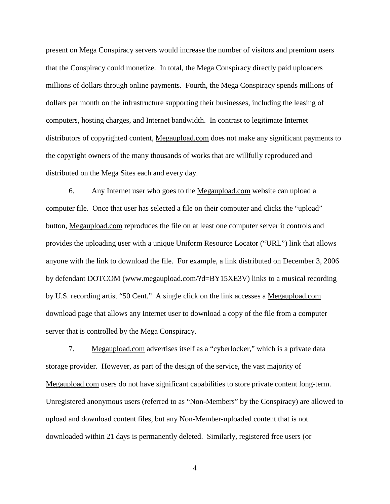present on Mega Conspiracy servers would increase the number of visitors and premium users that the Conspiracy could monetize. In total, the Mega Conspiracy directly paid uploaders millions of dollars through online payments. Fourth, the Mega Conspiracy spends millions of dollars per month on the infrastructure supporting their businesses, including the leasing of computers, hosting charges, and Internet bandwidth. In contrast to legitimate Internet distributors of copyrighted content, Megaupload.com does not make any significant payments to the copyright owners of the many thousands of works that are willfully reproduced and distributed on the Mega Sites each and every day.

6. Any Internet user who goes to the Megaupload.com website can upload a computer file. Once that user has selected a file on their computer and clicks the "upload" button, Megaupload.com reproduces the file on at least one computer server it controls and provides the uploading user with a unique Uniform Resource Locator ("URL") link that allows anyone with the link to download the file. For example, a link distributed on December 3, 2006 by defendant DOTCOM (www.megaupload.com/?d=BY15XE3V) links to a musical recording by U.S. recording artist "50 Cent." A single click on the link accesses a Megaupload.com download page that allows any Internet user to download a copy of the file from a computer server that is controlled by the Mega Conspiracy.

7. Megaupload.com advertises itself as a "cyberlocker," which is a private data storage provider. However, as part of the design of the service, the vast majority of Megaupload.com users do not have significant capabilities to store private content long-term. Unregistered anonymous users (referred to as "Non-Members" by the Conspiracy) are allowed to upload and download content files, but any Non-Member-uploaded content that is not downloaded within 21 days is permanently deleted. Similarly, registered free users (or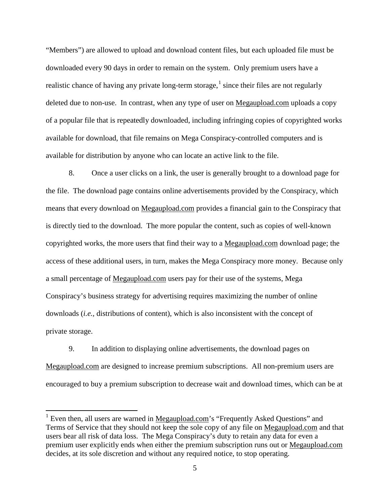"Members") are allowed to upload and download content files, but each uploaded file must be downloaded every 90 days in order to remain on the system. Only premium users have a realistic chance of having any private long-term storage,  $1$  since their files are not regularly deleted due to non-use. In contrast, when any type of user on Megaupload.com uploads a copy of a popular file that is repeatedly downloaded, including infringing copies of copyrighted works available for download, that file remains on Mega Conspiracy-controlled computers and is available for distribution by anyone who can locate an active link to the file.

8. Once a user clicks on a link, the user is generally brought to a download page for the file. The download page contains online advertisements provided by the Conspiracy, which means that every download on Megaupload.com provides a financial gain to the Conspiracy that is directly tied to the download. The more popular the content, such as copies of well-known copyrighted works, the more users that find their way to a Megaupload.com download page; the access of these additional users, in turn, makes the Mega Conspiracy more money. Because only a small percentage of Megaupload.com users pay for their use of the systems, Mega Conspiracy's business strategy for advertising requires maximizing the number of online downloads (*i.e.,* distributions of content), which is also inconsistent with the concept of private storage.

9. In addition to displaying online advertisements, the download pages on Megaupload.com are designed to increase premium subscriptions. All non-premium users are encouraged to buy a premium subscription to decrease wait and download times, which can be at

<span id="page-4-0"></span><sup>&</sup>lt;sup>1</sup> Even then, all users are warned in Megaupload.com's "Frequently Asked Questions" and Terms of Service that they should not keep the sole copy of any file on Megaupload.com and that users bear all risk of data loss. The Mega Conspiracy's duty to retain any data for even a premium user explicitly ends when either the premium subscription runs out or Megaupload.com decides, at its sole discretion and without any required notice, to stop operating.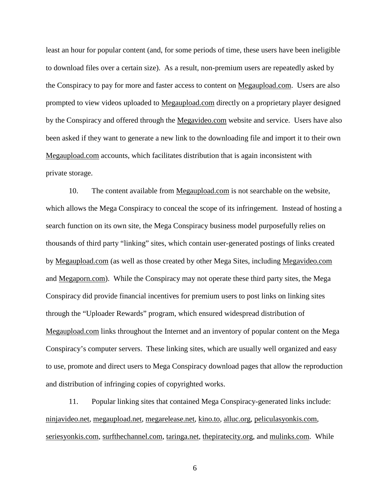least an hour for popular content (and, for some periods of time, these users have been ineligible to download files over a certain size). As a result, non-premium users are repeatedly asked by the Conspiracy to pay for more and faster access to content on Megaupload.com. Users are also prompted to view videos uploaded to Megaupload.com directly on a proprietary player designed by the Conspiracy and offered through the Megavideo.com website and service. Users have also been asked if they want to generate a new link to the downloading file and import it to their own Megaupload.com accounts, which facilitates distribution that is again inconsistent with private storage.

10. The content available from Megaupload.com is not searchable on the website, which allows the Mega Conspiracy to conceal the scope of its infringement. Instead of hosting a search function on its own site, the Mega Conspiracy business model purposefully relies on thousands of third party "linking" sites, which contain user-generated postings of links created by Megaupload.com (as well as those created by other Mega Sites, including Megavideo.com and Megaporn.com). While the Conspiracy may not operate these third party sites, the Mega Conspiracy did provide financial incentives for premium users to post links on linking sites through the "Uploader Rewards" program, which ensured widespread distribution of Megaupload.com links throughout the Internet and an inventory of popular content on the Mega Conspiracy's computer servers. These linking sites, which are usually well organized and easy to use, promote and direct users to Mega Conspiracy download pages that allow the reproduction and distribution of infringing copies of copyrighted works.

11. Popular linking sites that contained Mega Conspiracy-generated links include: [ninjavideo.net,](http://www.ninjavideo.net/) megaupload.net, megarelease.net, kino.to, alluc.org, peliculasyonkis.com, seriesyonkis.com, surfthechannel.com, taringa.net, thepiratecity.org, and mulinks.com. While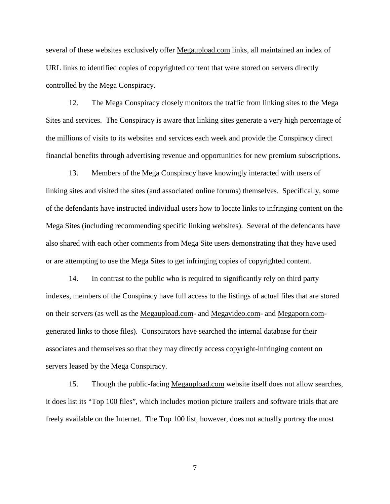several of these websites exclusively offer Megaupload.com links, all maintained an index of URL links to identified copies of copyrighted content that were stored on servers directly controlled by the Mega Conspiracy.

12. The Mega Conspiracy closely monitors the traffic from linking sites to the Mega Sites and services. The Conspiracy is aware that linking sites generate a very high percentage of the millions of visits to its websites and services each week and provide the Conspiracy direct financial benefits through advertising revenue and opportunities for new premium subscriptions.

13. Members of the Mega Conspiracy have knowingly interacted with users of linking sites and visited the sites (and associated online forums) themselves. Specifically, some of the defendants have instructed individual users how to locate links to infringing content on the Mega Sites (including recommending specific linking websites). Several of the defendants have also shared with each other comments from Mega Site users demonstrating that they have used or are attempting to use the Mega Sites to get infringing copies of copyrighted content.

14. In contrast to the public who is required to significantly rely on third party indexes, members of the Conspiracy have full access to the listings of actual files that are stored on their servers (as well as the Megaupload.com- and Megavideo.com- and Megaporn.comgenerated links to those files). Conspirators have searched the internal database for their associates and themselves so that they may directly access copyright-infringing content on servers leased by the Mega Conspiracy.

15. Though the public-facing Megaupload.com website itself does not allow searches, it does list its "Top 100 files", which includes motion picture trailers and software trials that are freely available on the Internet. The Top 100 list, however, does not actually portray the most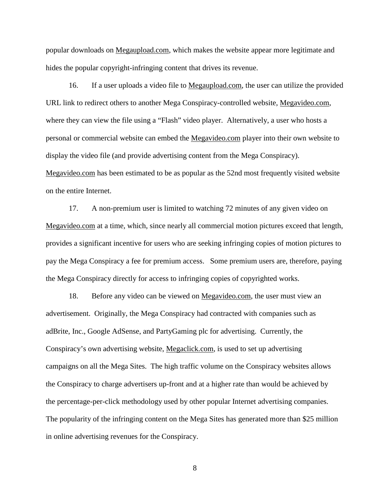popular downloads on Megaupload.com, which makes the website appear more legitimate and hides the popular copyright-infringing content that drives its revenue.

16. If a user uploads a video file to Megaupload.com, the user can utilize the provided URL link to redirect others to another Mega Conspiracy-controlled website, Megavideo.com, where they can view the file using a "Flash" video player. Alternatively, a user who hosts a personal or commercial website can embed the Megavideo.com player into their own website to display the video file (and provide advertising content from the Mega Conspiracy). Megavideo.com has been estimated to be as popular as the 52nd most frequently visited website on the entire Internet.

17. A non-premium user is limited to watching 72 minutes of any given video on Megavideo.com at a time, which, since nearly all commercial motion pictures exceed that length, provides a significant incentive for users who are seeking infringing copies of motion pictures to pay the Mega Conspiracy a fee for premium access. Some premium users are, therefore, paying the Mega Conspiracy directly for access to infringing copies of copyrighted works.

18. Before any video can be viewed on Megavideo.com, the user must view an advertisement. Originally, the Mega Conspiracy had contracted with companies such as adBrite, Inc., Google AdSense, and PartyGaming plc for advertising. Currently, the Conspiracy's own advertising website, Megaclick.com, is used to set up advertising campaigns on all the Mega Sites. The high traffic volume on the Conspiracy websites allows the Conspiracy to charge advertisers up-front and at a higher rate than would be achieved by the percentage-per-click methodology used by other popular Internet advertising companies. The popularity of the infringing content on the Mega Sites has generated more than \$25 million in online advertising revenues for the Conspiracy.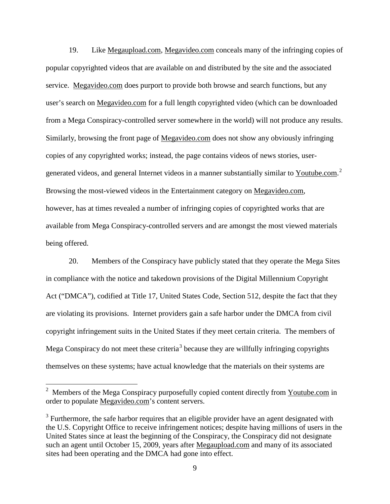19. Like Megaupload.com, Megavideo.com conceals many of the infringing copies of popular copyrighted videos that are available on and distributed by the site and the associated service. Megavideo.com does purport to provide both browse and search functions, but any user's search on Megavideo.com for a full length copyrighted video (which can be downloaded from a Mega Conspiracy-controlled server somewhere in the world) will not produce any results. Similarly, browsing the front page of Megavideo.com does not show any obviously infringing copies of any copyrighted works; instead, the page contains videos of news stories, user-generated videos, and general Internet videos in a manner substantially similar to Youtube.com.<sup>[2](#page-8-0)</sup> Browsing the most-viewed videos in the Entertainment category on Megavideo.com, however, has at times revealed a number of infringing copies of copyrighted works that are available from Mega Conspiracy-controlled servers and are amongst the most viewed materials being offered.

20. Members of the Conspiracy have publicly stated that they operate the Mega Sites in compliance with the notice and takedown provisions of the Digital Millennium Copyright Act ("DMCA"), codified at Title 17, United States Code, Section 512, despite the fact that they are violating its provisions. Internet providers gain a safe harbor under the DMCA from civil copyright infringement suits in the United States if they meet certain criteria. The members of Mega Conspiracy do not meet these criteria<sup>[3](#page-8-1)</sup> because they are willfully infringing copyrights themselves on these systems; have actual knowledge that the materials on their systems are

<span id="page-8-0"></span><sup>&</sup>lt;sup>2</sup> Members of the Mega Conspiracy purposefully copied content directly from Youtube.com in order to populate Megavideo.com's content servers.

<span id="page-8-1"></span> $3$  Furthermore, the safe harbor requires that an eligible provider have an agent designated with the U.S. Copyright Office to receive infringement notices; despite having millions of users in the United States since at least the beginning of the Conspiracy, the Conspiracy did not designate such an agent until October 15, 2009, years after Megaupload.com and many of its associated sites had been operating and the DMCA had gone into effect.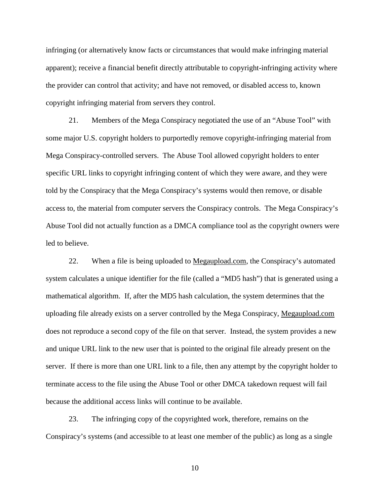infringing (or alternatively know facts or circumstances that would make infringing material apparent); receive a financial benefit directly attributable to copyright-infringing activity where the provider can control that activity; and have not removed, or disabled access to, known copyright infringing material from servers they control.

21. Members of the Mega Conspiracy negotiated the use of an "Abuse Tool" with some major U.S. copyright holders to purportedly remove copyright-infringing material from Mega Conspiracy-controlled servers. The Abuse Tool allowed copyright holders to enter specific URL links to copyright infringing content of which they were aware, and they were told by the Conspiracy that the Mega Conspiracy's systems would then remove, or disable access to, the material from computer servers the Conspiracy controls. The Mega Conspiracy's Abuse Tool did not actually function as a DMCA compliance tool as the copyright owners were led to believe.

22. When a file is being uploaded to <u>Megaupload.com</u>, the Conspiracy's automated system calculates a unique identifier for the file (called a "MD5 hash") that is generated using a mathematical algorithm. If, after the MD5 hash calculation, the system determines that the uploading file already exists on a server controlled by the Mega Conspiracy, Megaupload.com does not reproduce a second copy of the file on that server. Instead, the system provides a new and unique URL link to the new user that is pointed to the original file already present on the server. If there is more than one URL link to a file, then any attempt by the copyright holder to terminate access to the file using the Abuse Tool or other DMCA takedown request will fail because the additional access links will continue to be available.

23. The infringing copy of the copyrighted work, therefore, remains on the Conspiracy's systems (and accessible to at least one member of the public) as long as a single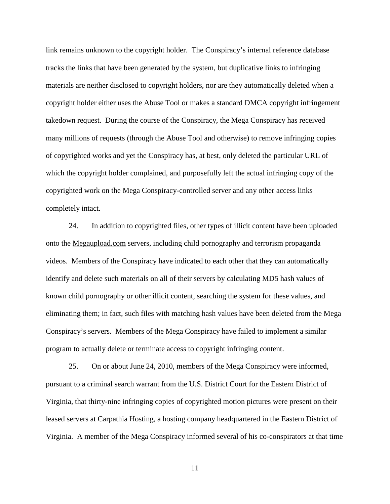link remains unknown to the copyright holder. The Conspiracy's internal reference database tracks the links that have been generated by the system, but duplicative links to infringing materials are neither disclosed to copyright holders, nor are they automatically deleted when a copyright holder either uses the Abuse Tool or makes a standard DMCA copyright infringement takedown request. During the course of the Conspiracy, the Mega Conspiracy has received many millions of requests (through the Abuse Tool and otherwise) to remove infringing copies of copyrighted works and yet the Conspiracy has, at best, only deleted the particular URL of which the copyright holder complained, and purposefully left the actual infringing copy of the copyrighted work on the Mega Conspiracy-controlled server and any other access links completely intact.

24. In addition to copyrighted files, other types of illicit content have been uploaded onto the Megaupload.com servers, including child pornography and terrorism propaganda videos. Members of the Conspiracy have indicated to each other that they can automatically identify and delete such materials on all of their servers by calculating MD5 hash values of known child pornography or other illicit content, searching the system for these values, and eliminating them; in fact, such files with matching hash values have been deleted from the Mega Conspiracy's servers. Members of the Mega Conspiracy have failed to implement a similar program to actually delete or terminate access to copyright infringing content.

25. On or about June 24, 2010, members of the Mega Conspiracy were informed, pursuant to a criminal search warrant from the U.S. District Court for the Eastern District of Virginia, that thirty-nine infringing copies of copyrighted motion pictures were present on their leased servers at Carpathia Hosting, a hosting company headquartered in the Eastern District of Virginia. A member of the Mega Conspiracy informed several of his co-conspirators at that time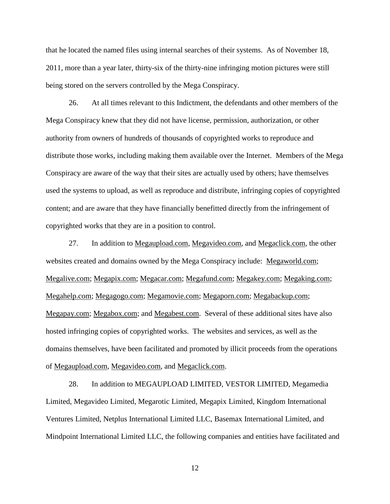that he located the named files using internal searches of their systems. As of November 18, 2011, more than a year later, thirty-six of the thirty-nine infringing motion pictures were still being stored on the servers controlled by the Mega Conspiracy.

26. At all times relevant to this Indictment, the defendants and other members of the Mega Conspiracy knew that they did not have license, permission, authorization, or other authority from owners of hundreds of thousands of copyrighted works to reproduce and distribute those works, including making them available over the Internet. Members of the Mega Conspiracy are aware of the way that their sites are actually used by others; have themselves used the systems to upload, as well as reproduce and distribute, infringing copies of copyrighted content; and are aware that they have financially benefitted directly from the infringement of copyrighted works that they are in a position to control.

27. In addition to Megaupload.com, Megavideo.com, and Megaclick.com, the other websites created and domains owned by the Mega Conspiracy include: Megaworld.com; Megalive.com; Megapix.com; Megacar.com; Megafund.com; Megakey.com; Megaking.com; Megahelp.com; Megagogo.com; Megamovie.com; Megaporn.com; Megabackup.com; Megapay.com; Megabox.com; and Megabest.com. Several of these additional sites have also hosted infringing copies of copyrighted works. The websites and services, as well as the domains themselves, have been facilitated and promoted by illicit proceeds from the operations of Megaupload.com, Megavideo.com, and Megaclick.com.

28. In addition to MEGAUPLOAD LIMITED, VESTOR LIMITED, Megamedia Limited, Megavideo Limited, Megarotic Limited, Megapix Limited, Kingdom International Ventures Limited, Netplus International Limited LLC, Basemax International Limited, and Mindpoint International Limited LLC, the following companies and entities have facilitated and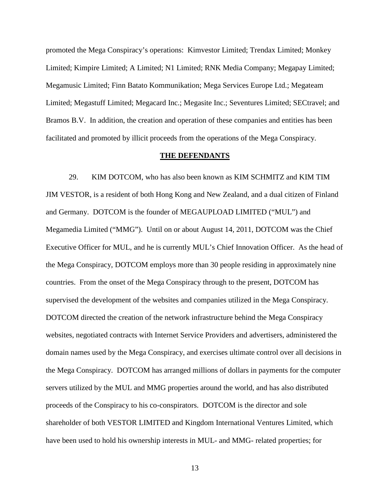promoted the Mega Conspiracy's operations: Kimvestor Limited; Trendax Limited; Monkey Limited; Kimpire Limited; A Limited; N1 Limited; RNK Media Company; Megapay Limited; Megamusic Limited; Finn Batato Kommunikation; Mega Services Europe Ltd.; Megateam Limited; Megastuff Limited; Megacard Inc.; Megasite Inc.; Seventures Limited; SECtravel; and Bramos B.V. In addition, the creation and operation of these companies and entities has been facilitated and promoted by illicit proceeds from the operations of the Mega Conspiracy.

#### **THE DEFENDANTS**

29. KIM DOTCOM, who has also been known as KIM SCHMITZ and KIM TIM JIM VESTOR, is a resident of both Hong Kong and New Zealand, and a dual citizen of Finland and Germany. DOTCOM is the founder of MEGAUPLOAD LIMITED ("MUL") and Megamedia Limited ("MMG"). Until on or about August 14, 2011, DOTCOM was the Chief Executive Officer for MUL, and he is currently MUL's Chief Innovation Officer. As the head of the Mega Conspiracy, DOTCOM employs more than 30 people residing in approximately nine countries. From the onset of the Mega Conspiracy through to the present, DOTCOM has supervised the development of the websites and companies utilized in the Mega Conspiracy. DOTCOM directed the creation of the network infrastructure behind the Mega Conspiracy websites, negotiated contracts with Internet Service Providers and advertisers, administered the domain names used by the Mega Conspiracy, and exercises ultimate control over all decisions in the Mega Conspiracy. DOTCOM has arranged millions of dollars in payments for the computer servers utilized by the MUL and MMG properties around the world, and has also distributed proceeds of the Conspiracy to his co-conspirators. DOTCOM is the director and sole shareholder of both VESTOR LIMITED and Kingdom International Ventures Limited, which have been used to hold his ownership interests in MUL- and MMG- related properties; for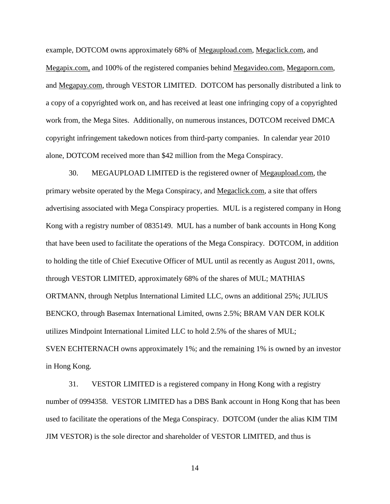example, DOTCOM owns approximately 68% of Megaupload.com, Megaclick.com, and Megapix.com, and 100% of the registered companies behind Megavideo.com, Megaporn.com, and Megapay.com, through VESTOR LIMITED. DOTCOM has personally distributed a link to a copy of a copyrighted work on, and has received at least one infringing copy of a copyrighted work from, the Mega Sites. Additionally, on numerous instances, DOTCOM received DMCA copyright infringement takedown notices from third-party companies. In calendar year 2010 alone, DOTCOM received more than \$42 million from the Mega Conspiracy.

30. MEGAUPLOAD LIMITED is the registered owner of Megaupload.com, the primary website operated by the Mega Conspiracy, and Megaclick.com, a site that offers advertising associated with Mega Conspiracy properties. MUL is a registered company in Hong Kong with a registry number of 0835149. MUL has a number of bank accounts in Hong Kong that have been used to facilitate the operations of the Mega Conspiracy. DOTCOM, in addition to holding the title of Chief Executive Officer of MUL until as recently as August 2011, owns, through VESTOR LIMITED, approximately 68% of the shares of MUL; MATHIAS ORTMANN, through Netplus International Limited LLC, owns an additional 25%; JULIUS BENCKO, through Basemax International Limited, owns 2.5%; BRAM VAN DER KOLK utilizes Mindpoint International Limited LLC to hold 2.5% of the shares of MUL; SVEN ECHTERNACH owns approximately 1%; and the remaining 1% is owned by an investor in Hong Kong.

31. VESTOR LIMITED is a registered company in Hong Kong with a registry number of 0994358. VESTOR LIMITED has a DBS Bank account in Hong Kong that has been used to facilitate the operations of the Mega Conspiracy. DOTCOM (under the alias KIM TIM JIM VESTOR) is the sole director and shareholder of VESTOR LIMITED, and thus is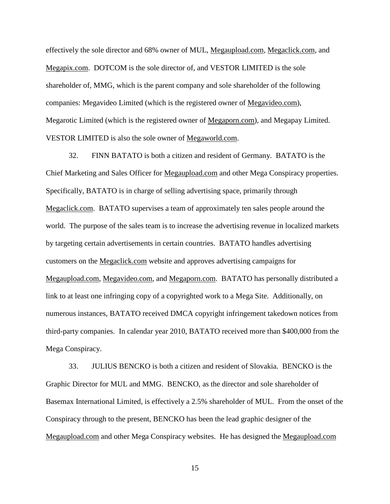effectively the sole director and 68% owner of MUL, Megaupload.com, Megaclick.com, and Megapix.com. DOTCOM is the sole director of, and VESTOR LIMITED is the sole shareholder of, MMG, which is the parent company and sole shareholder of the following companies: Megavideo Limited (which is the registered owner of Megavideo.com), Megarotic Limited (which is the registered owner of Megaporn.com), and Megapay Limited. VESTOR LIMITED is also the sole owner of Megaworld.com.

32. FINN BATATO is both a citizen and resident of Germany. BATATO is the Chief Marketing and Sales Officer for Megaupload.com and other Mega Conspiracy properties. Specifically, BATATO is in charge of selling advertising space, primarily through Megaclick.com. BATATO supervises a team of approximately ten sales people around the world. The purpose of the sales team is to increase the advertising revenue in localized markets by targeting certain advertisements in certain countries. BATATO handles advertising customers on the Megaclick.com website and approves advertising campaigns for Megaupload.com, Megavideo.com, and Megaporn.com. BATATO has personally distributed a link to at least one infringing copy of a copyrighted work to a Mega Site. Additionally, on numerous instances, BATATO received DMCA copyright infringement takedown notices from third-party companies. In calendar year 2010, BATATO received more than \$400,000 from the Mega Conspiracy.

33. JULIUS BENCKO is both a citizen and resident of Slovakia. BENCKO is the Graphic Director for MUL and MMG. BENCKO, as the director and sole shareholder of Basemax International Limited, is effectively a 2.5% shareholder of MUL. From the onset of the Conspiracy through to the present, BENCKO has been the lead graphic designer of the Megaupload.com and other Mega Conspiracy websites. He has designed the Megaupload.com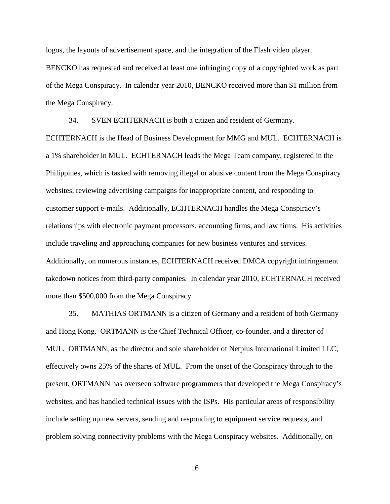logos, the layouts of advertisement space, and the integration of the Flash video player. BENCKO has requested and received at least one infringing copy of a copyrighted work as part of the Mega Conspiracy. In calendar year 2010, BENCKO received more than \$1 million from the Mega Conspiracy.

34. SVEN ECHTERNACH is both a citizen and resident of Germany.

ECHTERNACH is the Head of Business Development for MMG and MUL. ECHTERNACH is a 1% shareholder in MUL. ECHTERNACH leads the Mega Team company, registered in the Philippines, which is tasked with removing illegal or abusive content from the Mega Conspiracy websites, reviewing advertising campaigns for inappropriate content, and responding to customer support e-mails. Additionally, ECHTERNACH handles the Mega Conspiracy's relationships with electronic payment processors, accounting firms, and law firms. His activities include traveling and approaching companies for new business ventures and services. Additionally, on numerous instances, ECHTERNACH received DMCA copyright infringement takedown notices from third-party companies. In calendar year 2010, ECHTERNACH received more than \$500,000 from the Mega Conspiracy.

35. MATHIAS ORTMANN is a citizen of Germany and a resident of both Germany and Hong Kong. ORTMANN is the Chief Technical Officer, co-founder, and a director of MUL. ORTMANN, as the director and sole shareholder of Netplus International Limited LLC, effectively owns 25% of the shares of MUL. From the onset of the Conspiracy through to the present, ORTMANN has overseen software programmers that developed the Mega Conspiracy's websites, and has handled technical issues with the ISPs. His particular areas of responsibility include setting up new servers, sending and responding to equipment service requests, and problem solving connectivity problems with the Mega Conspiracy websites. Additionally, on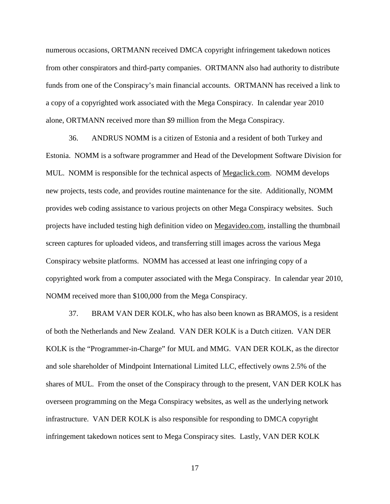numerous occasions, ORTMANN received DMCA copyright infringement takedown notices from other conspirators and third-party companies. ORTMANN also had authority to distribute funds from one of the Conspiracy's main financial accounts. ORTMANN has received a link to a copy of a copyrighted work associated with the Mega Conspiracy. In calendar year 2010 alone, ORTMANN received more than \$9 million from the Mega Conspiracy.

36. ANDRUS NOMM is a citizen of Estonia and a resident of both Turkey and Estonia. NOMM is a software programmer and Head of the Development Software Division for MUL. NOMM is responsible for the technical aspects of <u>Megaclick.com</u>. NOMM develops new projects, tests code, and provides routine maintenance for the site. Additionally, NOMM provides web coding assistance to various projects on other Mega Conspiracy websites. Such projects have included testing high definition video on Megavideo.com, installing the thumbnail screen captures for uploaded videos, and transferring still images across the various Mega Conspiracy website platforms. NOMM has accessed at least one infringing copy of a copyrighted work from a computer associated with the Mega Conspiracy. In calendar year 2010, NOMM received more than \$100,000 from the Mega Conspiracy.

37. BRAM VAN DER KOLK, who has also been known as BRAMOS, is a resident of both the Netherlands and New Zealand. VAN DER KOLK is a Dutch citizen. VAN DER KOLK is the "Programmer-in-Charge" for MUL and MMG. VAN DER KOLK, as the director and sole shareholder of Mindpoint International Limited LLC, effectively owns 2.5% of the shares of MUL. From the onset of the Conspiracy through to the present, VAN DER KOLK has overseen programming on the Mega Conspiracy websites, as well as the underlying network infrastructure. VAN DER KOLK is also responsible for responding to DMCA copyright infringement takedown notices sent to Mega Conspiracy sites. Lastly, VAN DER KOLK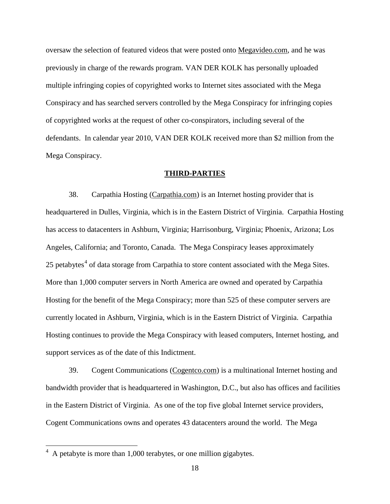oversaw the selection of featured videos that were posted onto Megavideo.com, and he was previously in charge of the rewards program. VAN DER KOLK has personally uploaded multiple infringing copies of copyrighted works to Internet sites associated with the Mega Conspiracy and has searched servers controlled by the Mega Conspiracy for infringing copies of copyrighted works at the request of other co-conspirators, including several of the defendants. In calendar year 2010, VAN DER KOLK received more than \$2 million from the Mega Conspiracy.

#### **THIRD-PARTIES**

38. Carpathia Hosting [\(Carpathia.com\)](http://www.carpathiahosting.com/) is an Internet hosting provider that is headquartered in Dulles, Virginia, which is in the Eastern District of Virginia. Carpathia Hosting has access to datacenters in Ashburn, Virginia; Harrisonburg, Virginia; Phoenix, Arizona; Los Angeles, California; and Toronto, Canada. The Mega Conspiracy leases approximately 25 petabytes<sup>[4](#page-17-0)</sup> of data storage from Carpathia to store content associated with the Mega Sites. More than 1,000 computer servers in North America are owned and operated by Carpathia Hosting for the benefit of the Mega Conspiracy; more than 525 of these computer servers are currently located in Ashburn, Virginia, which is in the Eastern District of Virginia. Carpathia Hosting continues to provide the Mega Conspiracy with leased computers, Internet hosting, and support services as of the date of this Indictment.

39. Cogent Communications ([Cogentco.com\)](http://www.cogentco.com/) is a multinational Internet hosting and bandwidth provider that is headquartered in Washington, D.C., but also has offices and facilities in the Eastern District of Virginia. As one of the top five global Internet service providers, Cogent Communications owns and operates 43 datacenters around the world. The Mega

<span id="page-17-0"></span> <sup>4</sup> A petabyte is more than 1,000 terabytes, or one million gigabytes.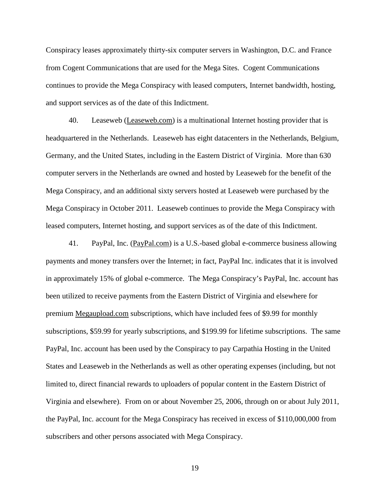Conspiracy leases approximately thirty-six computer servers in Washington, D.C. and France from Cogent Communications that are used for the Mega Sites. Cogent Communications continues to provide the Mega Conspiracy with leased computers, Internet bandwidth, hosting, and support services as of the date of this Indictment.

40. Leaseweb [\(Leaseweb.com\)](http://www.leaseweb.com/) is a multinational Internet hosting provider that is headquartered in the Netherlands. Leaseweb has eight datacenters in the Netherlands, Belgium, Germany, and the United States, including in the Eastern District of Virginia. More than 630 computer servers in the Netherlands are owned and hosted by Leaseweb for the benefit of the Mega Conspiracy, and an additional sixty servers hosted at Leaseweb were purchased by the Mega Conspiracy in October 2011. Leaseweb continues to provide the Mega Conspiracy with leased computers, Internet hosting, and support services as of the date of this Indictment.

41. PayPal, Inc. (PayPal.com) is a U.S.-based global e-commerce business allowing payments and money transfers over the Internet; in fact, PayPal Inc. indicates that it is involved in approximately 15% of global e-commerce. The Mega Conspiracy's PayPal, Inc. account has been utilized to receive payments from the Eastern District of Virginia and elsewhere for premium Megaupload.com subscriptions, which have included fees of \$9.99 for monthly subscriptions, \$59.99 for yearly subscriptions, and \$199.99 for lifetime subscriptions. The same PayPal, Inc. account has been used by the Conspiracy to pay Carpathia Hosting in the United States and Leaseweb in the Netherlands as well as other operating expenses (including, but not limited to, direct financial rewards to uploaders of popular content in the Eastern District of Virginia and elsewhere). From on or about November 25, 2006, through on or about July 2011, the PayPal, Inc. account for the Mega Conspiracy has received in excess of \$110,000,000 from subscribers and other persons associated with Mega Conspiracy.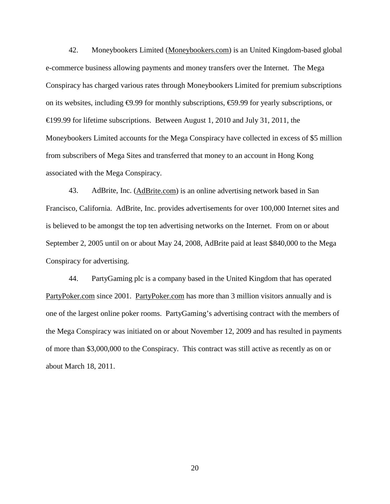42. Moneybookers Limited [\(Moneybookers.com\)](http://www.moneybookers.com/) is an United Kingdom-based global e-commerce business allowing payments and money transfers over the Internet. The Mega Conspiracy has charged various rates through Moneybookers Limited for premium subscriptions on its websites, including  $\Theta$ .99 for monthly subscriptions,  $\Theta$ 9.99 for yearly subscriptions, or €199.99 for lifetime subscriptions. Between August 1, 2010 and July 31, 2011, the Moneybookers Limited accounts for the Mega Conspiracy have collected in excess of \$5 million from subscribers of Mega Sites and transferred that money to an account in Hong Kong associated with the Mega Conspiracy.

43. AdBrite, Inc. [\(AdBrite.com\)](http://www.adbrite.com/) is an online advertising network based in San Francisco, California. AdBrite, Inc. provides advertisements for over 100,000 Internet sites and is believed to be amongst the top ten advertising networks on the Internet. From on or about September 2, 2005 until on or about May 24, 2008, AdBrite paid at least \$840,000 to the Mega Conspiracy for advertising.

44. PartyGaming plc is a company based in the United Kingdom that has operated [PartyPoker.com](http://www.partypoker.com/) since 2001. PartyPoker.com has more than 3 million visitors annually and is one of the largest online poker rooms. PartyGaming's advertising contract with the members of the Mega Conspiracy was initiated on or about November 12, 2009 and has resulted in payments of more than \$3,000,000 to the Conspiracy. This contract was still active as recently as on or about March 18, 2011.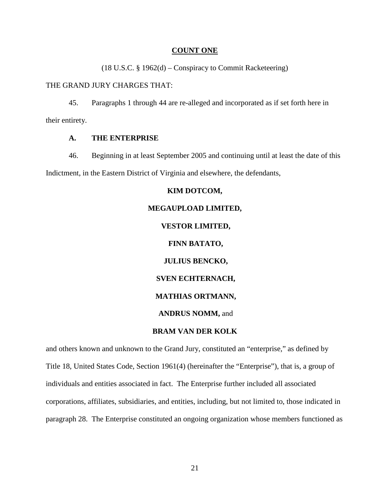#### **COUNT ONE**

(18 U.S.C. § 1962(d) – Conspiracy to Commit Racketeering)

#### THE GRAND JURY CHARGES THAT:

45. Paragraphs 1 through 44 are re-alleged and incorporated as if set forth here in their entirety.

#### **A. THE ENTERPRISE**

46. Beginning in at least September 2005 and continuing until at least the date of this Indictment, in the Eastern District of Virginia and elsewhere, the defendants,

#### **KIM DOTCOM,**

# **MEGAUPLOAD LIMITED, VESTOR LIMITED, FINN BATATO, JULIUS BENCKO, SVEN ECHTERNACH, MATHIAS ORTMANN,**

#### **ANDRUS NOMM,** and

#### **BRAM VAN DER KOLK**

and others known and unknown to the Grand Jury, constituted an "enterprise," as defined by Title 18, United States Code, Section 1961(4) (hereinafter the "Enterprise"), that is, a group of individuals and entities associated in fact. The Enterprise further included all associated corporations, affiliates, subsidiaries, and entities, including, but not limited to, those indicated in paragraph 28. The Enterprise constituted an ongoing organization whose members functioned as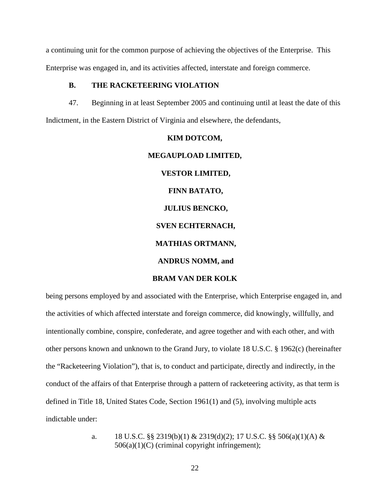a continuing unit for the common purpose of achieving the objectives of the Enterprise. This Enterprise was engaged in, and its activities affected, interstate and foreign commerce.

#### **B. THE RACKETEERING VIOLATION**

47. Beginning in at least September 2005 and continuing until at least the date of this Indictment, in the Eastern District of Virginia and elsewhere, the defendants,

# **KIM DOTCOM, MEGAUPLOAD LIMITED, VESTOR LIMITED, FINN BATATO, JULIUS BENCKO, SVEN ECHTERNACH, MATHIAS ORTMANN, ANDRUS NOMM, and BRAM VAN DER KOLK**

being persons employed by and associated with the Enterprise, which Enterprise engaged in, and the activities of which affected interstate and foreign commerce, did knowingly, willfully, and intentionally combine, conspire, confederate, and agree together and with each other, and with other persons known and unknown to the Grand Jury, to violate 18 U.S.C. § 1962(c) (hereinafter the "Racketeering Violation"), that is, to conduct and participate, directly and indirectly, in the conduct of the affairs of that Enterprise through a pattern of racketeering activity, as that term is defined in Title 18, United States Code, Section 1961(1) and (5), involving multiple acts indictable under:

> a. 18 U.S.C. §§ 2319(b)(1) & 2319(d)(2); 17 U.S.C. §§ 506(a)(1)(A) &  $506(a)(1)(C)$  (criminal copyright infringement);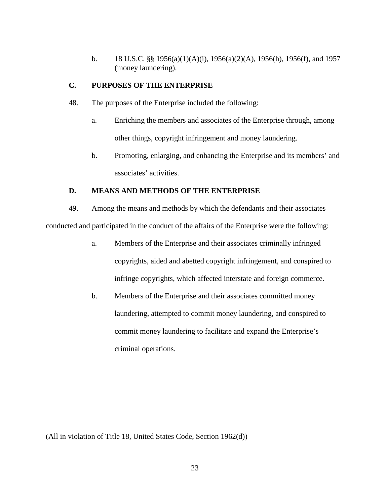b. 18 U.S.C. §§ 1956(a)(1)(A)(i), 1956(a)(2)(A), 1956(h), 1956(f), and 1957 (money laundering).

## **C. PURPOSES OF THE ENTERPRISE**

- 48. The purposes of the Enterprise included the following:
	- a. Enriching the members and associates of the Enterprise through, among other things, copyright infringement and money laundering.
	- b. Promoting, enlarging, and enhancing the Enterprise and its members' and associates' activities.

## **D. MEANS AND METHODS OF THE ENTERPRISE**

49. Among the means and methods by which the defendants and their associates conducted and participated in the conduct of the affairs of the Enterprise were the following:

- a. Members of the Enterprise and their associates criminally infringed copyrights, aided and abetted copyright infringement, and conspired to infringe copyrights, which affected interstate and foreign commerce.
- b. Members of the Enterprise and their associates committed money laundering, attempted to commit money laundering, and conspired to commit money laundering to facilitate and expand the Enterprise's criminal operations.

(All in violation of Title 18, United States Code, Section 1962(d))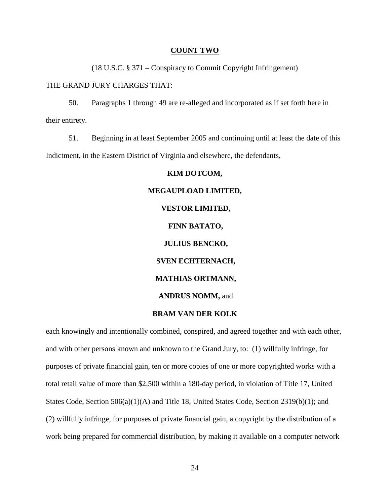#### **COUNT TWO**

(18 U.S.C. § 371 – Conspiracy to Commit Copyright Infringement)

#### THE GRAND JURY CHARGES THAT:

50. Paragraphs 1 through 49 are re-alleged and incorporated as if set forth here in their entirety.

51. Beginning in at least September 2005 and continuing until at least the date of this Indictment, in the Eastern District of Virginia and elsewhere, the defendants,

#### **KIM DOTCOM,**

# **MEGAUPLOAD LIMITED, VESTOR LIMITED, FINN BATATO, JULIUS BENCKO, SVEN ECHTERNACH, MATHIAS ORTMANN, ANDRUS NOMM,** and

### **BRAM VAN DER KOLK**

each knowingly and intentionally combined, conspired, and agreed together and with each other, and with other persons known and unknown to the Grand Jury, to: (1) willfully infringe, for purposes of private financial gain, ten or more copies of one or more copyrighted works with a total retail value of more than \$2,500 within a 180-day period, in violation of Title 17, United States Code, Section 506(a)(1)(A) and Title 18, United States Code, Section 2319(b)(1); and (2) willfully infringe, for purposes of private financial gain, a copyright by the distribution of a work being prepared for commercial distribution, by making it available on a computer network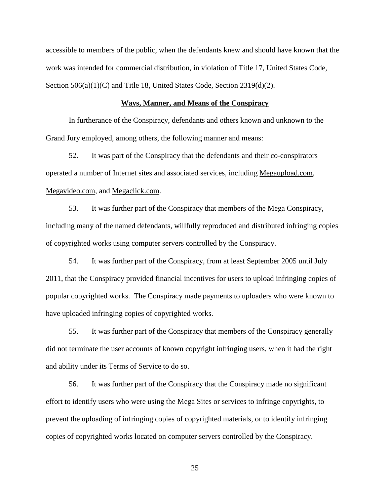accessible to members of the public, when the defendants knew and should have known that the work was intended for commercial distribution, in violation of Title 17, United States Code, Section 506(a)(1)(C) and Title 18, United States Code, Section 2319(d)(2).

#### **Ways, Manner, and Means of the Conspiracy**

In furtherance of the Conspiracy, defendants and others known and unknown to the Grand Jury employed, among others, the following manner and means:

52. It was part of the Conspiracy that the defendants and their co-conspirators operated a number of Internet sites and associated services, including Megaupload.com, Megavideo.com, and Megaclick.com.

53. It was further part of the Conspiracy that members of the Mega Conspiracy, including many of the named defendants, willfully reproduced and distributed infringing copies of copyrighted works using computer servers controlled by the Conspiracy.

54. It was further part of the Conspiracy, from at least September 2005 until July 2011, that the Conspiracy provided financial incentives for users to upload infringing copies of popular copyrighted works. The Conspiracy made payments to uploaders who were known to have uploaded infringing copies of copyrighted works.

55. It was further part of the Conspiracy that members of the Conspiracy generally did not terminate the user accounts of known copyright infringing users, when it had the right and ability under its Terms of Service to do so.

56. It was further part of the Conspiracy that the Conspiracy made no significant effort to identify users who were using the Mega Sites or services to infringe copyrights, to prevent the uploading of infringing copies of copyrighted materials, or to identify infringing copies of copyrighted works located on computer servers controlled by the Conspiracy.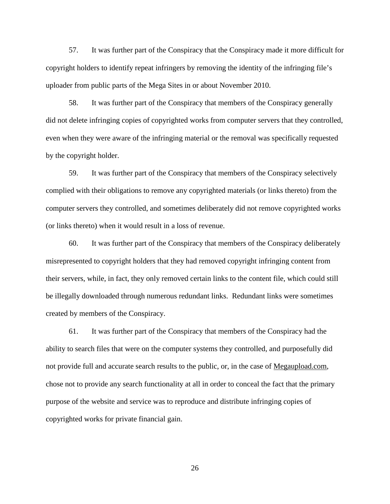57. It was further part of the Conspiracy that the Conspiracy made it more difficult for copyright holders to identify repeat infringers by removing the identity of the infringing file's uploader from public parts of the Mega Sites in or about November 2010.

58. It was further part of the Conspiracy that members of the Conspiracy generally did not delete infringing copies of copyrighted works from computer servers that they controlled, even when they were aware of the infringing material or the removal was specifically requested by the copyright holder.

59. It was further part of the Conspiracy that members of the Conspiracy selectively complied with their obligations to remove any copyrighted materials (or links thereto) from the computer servers they controlled, and sometimes deliberately did not remove copyrighted works (or links thereto) when it would result in a loss of revenue.

60. It was further part of the Conspiracy that members of the Conspiracy deliberately misrepresented to copyright holders that they had removed copyright infringing content from their servers, while, in fact, they only removed certain links to the content file, which could still be illegally downloaded through numerous redundant links. Redundant links were sometimes created by members of the Conspiracy.

61. It was further part of the Conspiracy that members of the Conspiracy had the ability to search files that were on the computer systems they controlled, and purposefully did not provide full and accurate search results to the public, or, in the case of Megaupload.com, chose not to provide any search functionality at all in order to conceal the fact that the primary purpose of the website and service was to reproduce and distribute infringing copies of copyrighted works for private financial gain.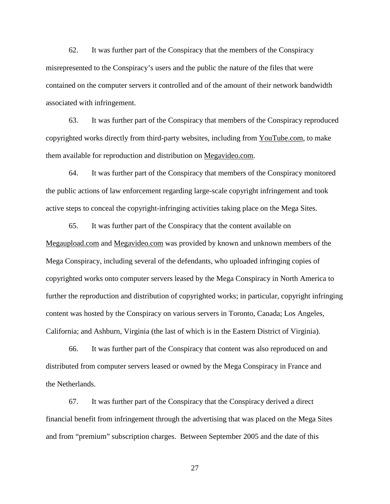62. It was further part of the Conspiracy that the members of the Conspiracy misrepresented to the Conspiracy's users and the public the nature of the files that were contained on the computer servers it controlled and of the amount of their network bandwidth associated with infringement.

63. It was further part of the Conspiracy that members of the Conspiracy reproduced copyrighted works directly from third-party websites, including from YouTube.com, to make them available for reproduction and distribution on Megavideo.com.

64. It was further part of the Conspiracy that members of the Conspiracy monitored the public actions of law enforcement regarding large-scale copyright infringement and took active steps to conceal the copyright-infringing activities taking place on the Mega Sites.

65. It was further part of the Conspiracy that the content available on Megaupload.com and Megavideo.com was provided by known and unknown members of the Mega Conspiracy, including several of the defendants, who uploaded infringing copies of copyrighted works onto computer servers leased by the Mega Conspiracy in North America to further the reproduction and distribution of copyrighted works; in particular, copyright infringing content was hosted by the Conspiracy on various servers in Toronto, Canada; Los Angeles, California; and Ashburn, Virginia (the last of which is in the Eastern District of Virginia).

66. It was further part of the Conspiracy that content was also reproduced on and distributed from computer servers leased or owned by the Mega Conspiracy in France and the Netherlands.

67. It was further part of the Conspiracy that the Conspiracy derived a direct financial benefit from infringement through the advertising that was placed on the Mega Sites and from "premium" subscription charges. Between September 2005 and the date of this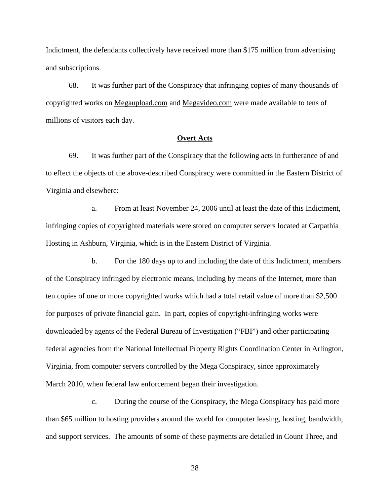Indictment, the defendants collectively have received more than \$175 million from advertising and subscriptions.

68. It was further part of the Conspiracy that infringing copies of many thousands of copyrighted works on Megaupload.com and Megavideo.com were made available to tens of millions of visitors each day.

#### **Overt Acts**

69. It was further part of the Conspiracy that the following acts in furtherance of and to effect the objects of the above-described Conspiracy were committed in the Eastern District of Virginia and elsewhere:

a. From at least November 24, 2006 until at least the date of this Indictment, infringing copies of copyrighted materials were stored on computer servers located at Carpathia Hosting in Ashburn, Virginia, which is in the Eastern District of Virginia.

b. For the 180 days up to and including the date of this Indictment, members of the Conspiracy infringed by electronic means, including by means of the Internet, more than ten copies of one or more copyrighted works which had a total retail value of more than \$2,500 for purposes of private financial gain. In part, copies of copyright-infringing works were downloaded by agents of the Federal Bureau of Investigation ("FBI") and other participating federal agencies from the National Intellectual Property Rights Coordination Center in Arlington, Virginia, from computer servers controlled by the Mega Conspiracy, since approximately March 2010, when federal law enforcement began their investigation.

c. During the course of the Conspiracy, the Mega Conspiracy has paid more than \$65 million to hosting providers around the world for computer leasing, hosting, bandwidth, and support services. The amounts of some of these payments are detailed in Count Three, and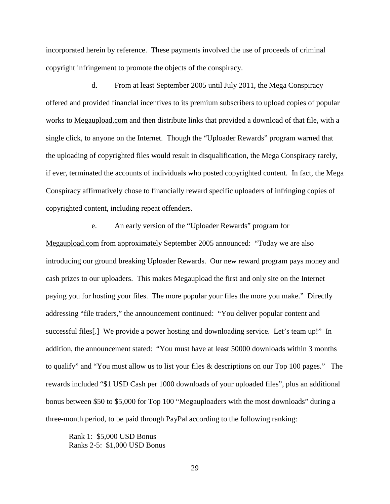incorporated herein by reference. These payments involved the use of proceeds of criminal copyright infringement to promote the objects of the conspiracy.

d. From at least September 2005 until July 2011, the Mega Conspiracy offered and provided financial incentives to its premium subscribers to upload copies of popular works to Megaupload.com and then distribute links that provided a download of that file, with a single click, to anyone on the Internet. Though the "Uploader Rewards" program warned that the uploading of copyrighted files would result in disqualification, the Mega Conspiracy rarely, if ever, terminated the accounts of individuals who posted copyrighted content. In fact, the Mega Conspiracy affirmatively chose to financially reward specific uploaders of infringing copies of copyrighted content, including repeat offenders.

e. An early version of the "Uploader Rewards" program for Megaupload.com from approximately September 2005 announced: "Today we are also introducing our ground breaking Uploader Rewards. Our new reward program pays money and cash prizes to our uploaders. This makes Megaupload the first and only site on the Internet paying you for hosting your files. The more popular your files the more you make." Directly addressing "file traders," the announcement continued: "You deliver popular content and successful files[.] We provide a power hosting and downloading service. Let's team up!" In addition, the announcement stated: "You must have at least 50000 downloads within 3 months to qualify" and "You must allow us to list your files & descriptions on our Top 100 pages." The rewards included "\$1 USD Cash per 1000 downloads of your uploaded files", plus an additional bonus between \$50 to \$5,000 for Top 100 "Megauploaders with the most downloads" during a three-month period, to be paid through PayPal according to the following ranking:

Rank 1: \$5,000 USD Bonus Ranks 2-5: \$1,000 USD Bonus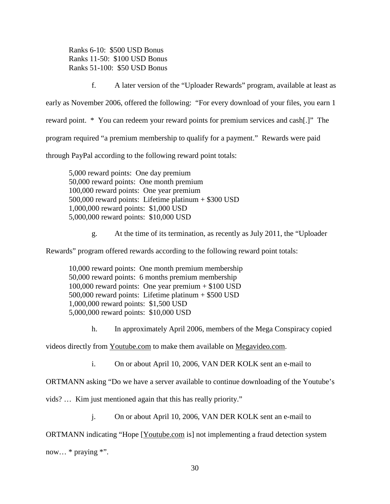Ranks 6-10: \$500 USD Bonus Ranks 11-50: \$100 USD Bonus Ranks 51-100: \$50 USD Bonus

f. A later version of the "Uploader Rewards" program, available at least as

early as November 2006, offered the following: "For every download of your files, you earn 1

reward point. \* You can redeem your reward points for premium services and cash[.]" The

program required "a premium membership to qualify for a payment." Rewards were paid

through PayPal according to the following reward point totals:

5,000 reward points: One day premium 50,000 reward points: One month premium 100,000 reward points: One year premium 500,000 reward points: Lifetime platinum + \$300 USD 1,000,000 reward points: \$1,000 USD 5,000,000 reward points: \$10,000 USD

g. At the time of its termination, as recently as July 2011, the "Uploader

Rewards" program offered rewards according to the following reward point totals:

10,000 reward points: One month premium membership 50,000 reward points: 6 months premium membership 100,000 reward points: One year premium + \$100 USD 500,000 reward points: Lifetime platinum + \$500 USD 1,000,000 reward points: \$1,500 USD 5,000,000 reward points: \$10,000 USD

h. In approximately April 2006, members of the Mega Conspiracy copied

videos directly from Youtube.com to make them available on Megavideo.com.

i. On or about April 10, 2006, VAN DER KOLK sent an e-mail to

ORTMANN asking "Do we have a server available to continue downloading of the Youtube's

vids? … Kim just mentioned again that this has really priority."

j. On or about April 10, 2006, VAN DER KOLK sent an e-mail to

ORTMANN indicating "Hope [Youtube.com is] not implementing a fraud detection system

now... \* praying \*".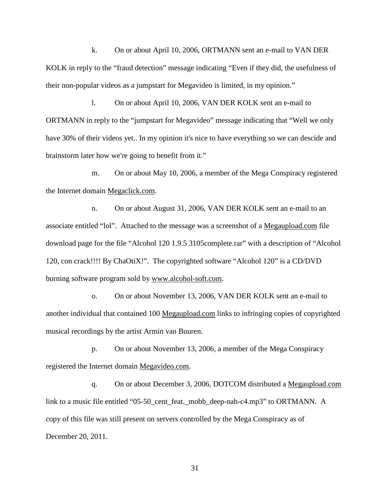k. On or about April 10, 2006, ORTMANN sent an e-mail to VAN DER KOLK in reply to the "fraud detection" message indicating "Even if they did, the usefulness of their non-popular videos as a jumpstart for Megavideo is limited, in my opinion."

l. On or about April 10, 2006, VAN DER KOLK sent an e-mail to ORTMANN in reply to the "jumpstart for Megavideo" message indicating that "Well we only have 30% of their videos yet.. In my opinion it's nice to have everything so we can descide and brainstorm later how we're going to benefit from it."

m. On or about May 10, 2006, a member of the Mega Conspiracy registered the Internet domain Megaclick.com.

n. On or about August 31, 2006, VAN DER KOLK sent an e-mail to an associate entitled "lol". Attached to the message was a screenshot of a Megaupload.com file download page for the file "Alcohol 120 1.9.5 3105complete.rar" with a description of "Alcohol 120, con crack!!!! By ChaOtiX!". The copyrighted software "Alcohol 120" is a CD/DVD burning software program sold by www.alcohol-soft.com.

o. On or about November 13, 2006, VAN DER KOLK sent an e-mail to another individual that contained 100 Megaupload.com links to infringing copies of copyrighted musical recordings by the artist Armin van Buuren.

p. On or about November 13, 2006, a member of the Mega Conspiracy registered the Internet domain Megavideo.com.

q. On or about December 3, 2006, DOTCOM distributed a Megaupload.com link to a music file entitled "05-50\_cent\_feat.\_mobb\_deep-nah-c4.mp3" to ORTMANN. A copy of this file was still present on servers controlled by the Mega Conspiracy as of December 20, 2011.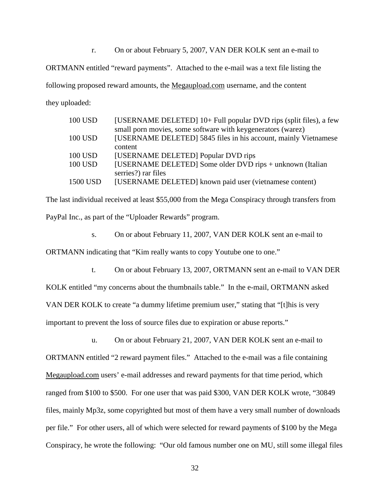r. On or about February 5, 2007, VAN DER KOLK sent an e-mail to

ORTMANN entitled "reward payments". Attached to the e-mail was a text file listing the

following proposed reward amounts, the Megaupload.com username, and the content they uploaded:

| <b>100 USD</b> | [USERNAME DELETED] 10+ Full popular DVD rips (split files), a few |
|----------------|-------------------------------------------------------------------|
|                | small porn movies, some software with keygenerators (warez)       |
| 100 USD        | [USERNAME DELETED] 5845 files in his account, mainly Vietnamese   |
|                | content                                                           |
| 100 USD        | [USERNAME DELETED] Popular DVD rips                               |
| <b>100 USD</b> | [USERNAME DELETED] Some older DVD rips + unknown (Italian         |
|                | serries?) rar files                                               |
| 1500 USD       | [USERNAME DELETED] known paid user (vietnamese content)           |

The last individual received at least \$55,000 from the Mega Conspiracy through transfers from PayPal Inc., as part of the "Uploader Rewards" program.

s. On or about February 11, 2007, VAN DER KOLK sent an e-mail to

ORTMANN indicating that "Kim really wants to copy Youtube one to one."

t. On or about February 13, 2007, ORTMANN sent an e-mail to VAN DER

KOLK entitled "my concerns about the thumbnails table." In the e-mail, ORTMANN asked VAN DER KOLK to create "a dummy lifetime premium user," stating that "[t]his is very important to prevent the loss of source files due to expiration or abuse reports."

u. On or about February 21, 2007, VAN DER KOLK sent an e-mail to ORTMANN entitled "2 reward payment files." Attached to the e-mail was a file containing Megaupload.com users' e-mail addresses and reward payments for that time period, which ranged from \$100 to \$500. For one user that was paid \$300, VAN DER KOLK wrote, "30849 files, mainly Mp3z, some copyrighted but most of them have a very small number of downloads per file." For other users, all of which were selected for reward payments of \$100 by the Mega Conspiracy, he wrote the following: "Our old famous number one on MU, still some illegal files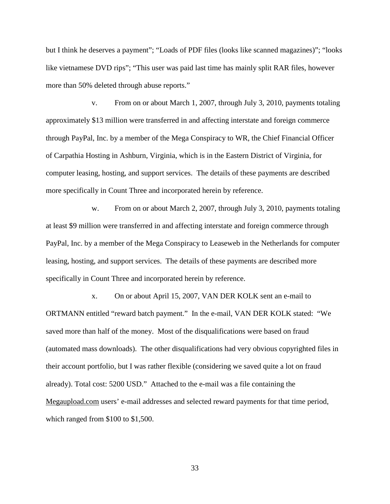but I think he deserves a payment"; "Loads of PDF files (looks like scanned magazines)"; "looks like vietnamese DVD rips"; "This user was paid last time has mainly split RAR files, however more than 50% deleted through abuse reports."

v. From on or about March 1, 2007, through July 3, 2010, payments totaling approximately \$13 million were transferred in and affecting interstate and foreign commerce through PayPal, Inc. by a member of the Mega Conspiracy to WR, the Chief Financial Officer of Carpathia Hosting in Ashburn, Virginia, which is in the Eastern District of Virginia, for computer leasing, hosting, and support services. The details of these payments are described more specifically in Count Three and incorporated herein by reference.

w. From on or about March 2, 2007, through July 3, 2010, payments totaling at least \$9 million were transferred in and affecting interstate and foreign commerce through PayPal, Inc. by a member of the Mega Conspiracy to Leaseweb in the Netherlands for computer leasing, hosting, and support services. The details of these payments are described more specifically in Count Three and incorporated herein by reference.

x. On or about April 15, 2007, VAN DER KOLK sent an e-mail to ORTMANN entitled "reward batch payment." In the e-mail, VAN DER KOLK stated: "We saved more than half of the money. Most of the disqualifications were based on fraud (automated mass downloads). The other disqualifications had very obvious copyrighted files in their account portfolio, but I was rather flexible (considering we saved quite a lot on fraud already). Total cost: 5200 USD." Attached to the e-mail was a file containing the Megaupload.com users' e-mail addresses and selected reward payments for that time period, which ranged from \$100 to \$1,500.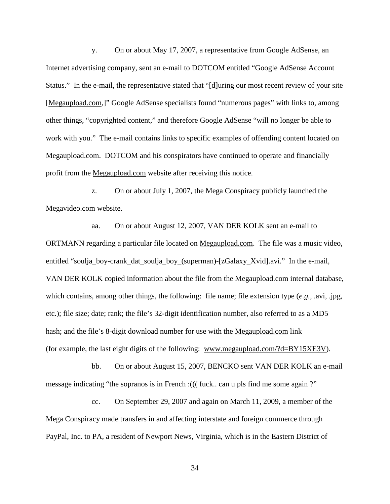y. On or about May 17, 2007, a representative from Google AdSense, an Internet advertising company, sent an e-mail to DOTCOM entitled "Google AdSense Account Status." In the e-mail, the representative stated that "[d]uring our most recent review of your site [Megaupload.com,]" Google AdSense specialists found "numerous pages" with links to, among other things, "copyrighted content," and therefore Google AdSense "will no longer be able to work with you." The e-mail contains links to specific examples of offending content located on Megaupload.com. DOTCOM and his conspirators have continued to operate and financially profit from the Megaupload.com website after receiving this notice.

z. On or about July 1, 2007, the Mega Conspiracy publicly launched the Megavideo.com website.

aa. On or about August 12, 2007, VAN DER KOLK sent an e-mail to ORTMANN regarding a particular file located on Megaupload.com. The file was a music video, entitled "soulja\_boy-crank\_dat\_soulja\_boy\_(superman)-[zGalaxy\_Xvid].avi." In the e-mail, VAN DER KOLK copied information about the file from the Megaupload.com internal database, which contains, among other things, the following: file name; file extension type (*e.g.,* .avi, .jpg, etc.); file size; date; rank; the file's 32-digit identification number, also referred to as a MD5 hash; and the file's 8-digit download number for use with the Megaupload.com link (for example, the last eight digits of the following: www.megaupload.com/?d=BY15XE3V).

bb. On or about August 15, 2007, BENCKO sent VAN DER KOLK an e-mail message indicating "the sopranos is in French : ((( fuck.. can u pls find me some again ?")

cc. On September 29, 2007 and again on March 11, 2009, a member of the Mega Conspiracy made transfers in and affecting interstate and foreign commerce through PayPal, Inc. to PA, a resident of Newport News, Virginia, which is in the Eastern District of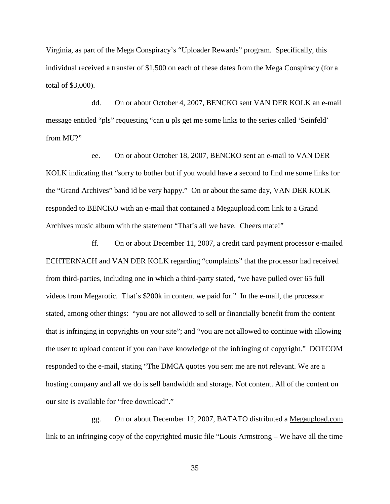Virginia, as part of the Mega Conspiracy's "Uploader Rewards" program. Specifically, this individual received a transfer of \$1,500 on each of these dates from the Mega Conspiracy (for a total of \$3,000).

dd. On or about October 4, 2007, BENCKO sent VAN DER KOLK an e-mail message entitled "pls" requesting "can u pls get me some links to the series called 'Seinfeld' from MU?"

ee. On or about October 18, 2007, BENCKO sent an e-mail to VAN DER KOLK indicating that "sorry to bother but if you would have a second to find me some links for the "Grand Archives" band id be very happy." On or about the same day, VAN DER KOLK responded to BENCKO with an e-mail that contained a Megaupload.com link to a Grand Archives music album with the statement "That's all we have. Cheers mate!"

ff. On or about December 11, 2007, a credit card payment processor e-mailed ECHTERNACH and VAN DER KOLK regarding "complaints" that the processor had received from third-parties, including one in which a third-party stated, "we have pulled over 65 full videos from Megarotic. That's \$200k in content we paid for." In the e-mail, the processor stated, among other things: "you are not allowed to sell or financially benefit from the content that is infringing in copyrights on your site"; and "you are not allowed to continue with allowing the user to upload content if you can have knowledge of the infringing of copyright." DOTCOM responded to the e-mail, stating "The DMCA quotes you sent me are not relevant. We are a hosting company and all we do is sell bandwidth and storage. Not content. All of the content on our site is available for "free download"."

gg. On or about December 12, 2007, BATATO distributed a Megaupload.com link to an infringing copy of the copyrighted music file "Louis Armstrong – We have all the time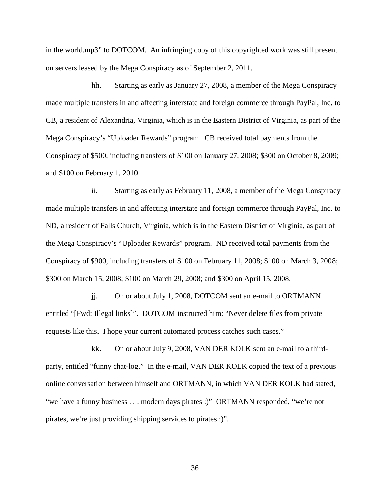in the world.mp3" to DOTCOM. An infringing copy of this copyrighted work was still present on servers leased by the Mega Conspiracy as of September 2, 2011.

hh. Starting as early as January 27, 2008, a member of the Mega Conspiracy made multiple transfers in and affecting interstate and foreign commerce through PayPal, Inc. to CB, a resident of Alexandria, Virginia, which is in the Eastern District of Virginia, as part of the Mega Conspiracy's "Uploader Rewards" program. CB received total payments from the Conspiracy of \$500, including transfers of \$100 on January 27, 2008; \$300 on October 8, 2009; and \$100 on February 1, 2010.

ii. Starting as early as February 11, 2008, a member of the Mega Conspiracy made multiple transfers in and affecting interstate and foreign commerce through PayPal, Inc. to ND, a resident of Falls Church, Virginia, which is in the Eastern District of Virginia, as part of the Mega Conspiracy's "Uploader Rewards" program. ND received total payments from the Conspiracy of \$900, including transfers of \$100 on February 11, 2008; \$100 on March 3, 2008; \$300 on March 15, 2008; \$100 on March 29, 2008; and \$300 on April 15, 2008.

jj. On or about July 1, 2008, DOTCOM sent an e-mail to ORTMANN entitled "[Fwd: Illegal links]". DOTCOM instructed him: "Never delete files from private requests like this. I hope your current automated process catches such cases."

kk. On or about July 9, 2008, VAN DER KOLK sent an e-mail to a thirdparty, entitled "funny chat-log." In the e-mail, VAN DER KOLK copied the text of a previous online conversation between himself and ORTMANN, in which VAN DER KOLK had stated, "we have a funny business . . . modern days pirates :)" ORTMANN responded, "we're not pirates, we're just providing shipping services to pirates :)".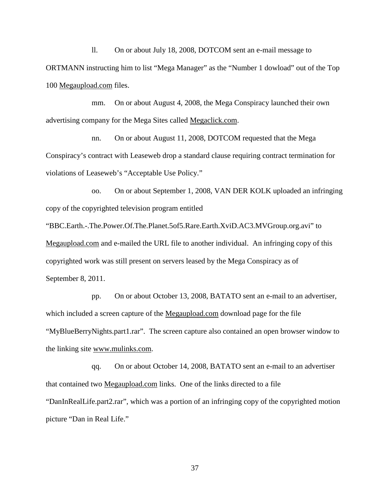ll. On or about July 18, 2008, DOTCOM sent an e-mail message to ORTMANN instructing him to list "Mega Manager" as the "Number 1 dowload" out of the Top 100 Megaupload.com files.

mm. On or about August 4, 2008, the Mega Conspiracy launched their own advertising company for the Mega Sites called Megaclick.com.

nn. On or about August 11, 2008, DOTCOM requested that the Mega Conspiracy's contract with Leaseweb drop a standard clause requiring contract termination for violations of Leaseweb's "Acceptable Use Policy."

oo. On or about September 1, 2008, VAN DER KOLK uploaded an infringing copy of the copyrighted television program entitled

"BBC.Earth.-.The.Power.Of.The.Planet.5of5.Rare.Earth.XviD.AC3.MVGroup.org.avi" to Megaupload.com and e-mailed the URL file to another individual. An infringing copy of this copyrighted work was still present on servers leased by the Mega Conspiracy as of September 8, 2011.

pp. On or about October 13, 2008, BATATO sent an e-mail to an advertiser, which included a screen capture of the Megaupload.com download page for the file "MyBlueBerryNights.part1.rar". The screen capture also contained an open browser window to the linking site www.mulinks.com.

qq. On or about October 14, 2008, BATATO sent an e-mail to an advertiser that contained two Megaupload.com links. One of the links directed to a file "DanInRealLife.part2.rar", which was a portion of an infringing copy of the copyrighted motion picture "Dan in Real Life."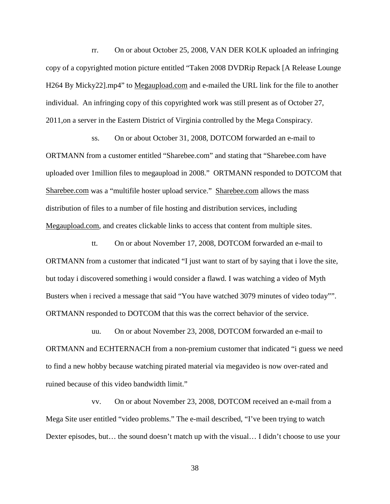rr. On or about October 25, 2008, VAN DER KOLK uploaded an infringing copy of a copyrighted motion picture entitled "Taken 2008 DVDRip Repack [A Release Lounge H264 By Micky22].mp4" to Megaupload.com and e-mailed the URL link for the file to another individual. An infringing copy of this copyrighted work was still present as of October 27, 2011,on a server in the Eastern District of Virginia controlled by the Mega Conspiracy.

ss. On or about October 31, 2008, DOTCOM forwarded an e-mail to ORTMANN from a customer entitled "Sharebee.com" and stating that "Sharebee.com have uploaded over 1million files to megaupload in 2008." ORTMANN responded to DOTCOM that Sharebee.com was a "multifile hoster upload service." Sharebee.com allows the mass distribution of files to a number of file hosting and distribution services, including Megaupload.com, and creates clickable links to access that content from multiple sites.

tt. On or about November 17, 2008, DOTCOM forwarded an e-mail to ORTMANN from a customer that indicated "I just want to start of by saying that i love the site, but today i discovered something i would consider a flawd. I was watching a video of Myth Busters when i recived a message that said "You have watched 3079 minutes of video today"". ORTMANN responded to DOTCOM that this was the correct behavior of the service.

uu. On or about November 23, 2008, DOTCOM forwarded an e-mail to ORTMANN and ECHTERNACH from a non-premium customer that indicated "i guess we need to find a new hobby because watching pirated material via megavideo is now over-rated and ruined because of this video bandwidth limit."

vv. On or about November 23, 2008, DOTCOM received an e-mail from a Mega Site user entitled "video problems." The e-mail described, "I've been trying to watch Dexter episodes, but… the sound doesn't match up with the visual… I didn't choose to use your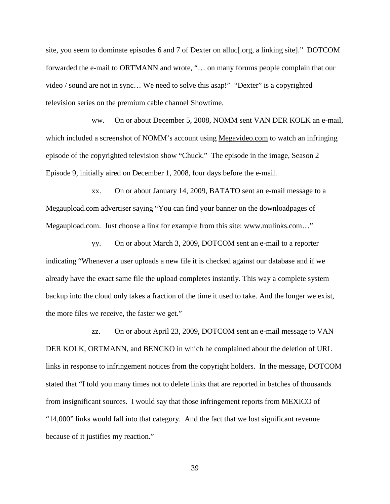site, you seem to dominate episodes 6 and 7 of Dexter on alluc[.org, a linking site]." DOTCOM forwarded the e-mail to ORTMANN and wrote, "… on many forums people complain that our video / sound are not in sync… We need to solve this asap!" "Dexter" is a copyrighted television series on the premium cable channel Showtime.

ww. On or about December 5, 2008, NOMM sent VAN DER KOLK an e-mail, which included a screenshot of NOMM's account using Megavideo.com to watch an infringing episode of the copyrighted television show "Chuck." The episode in the image, Season 2 Episode 9, initially aired on December 1, 2008, four days before the e-mail.

xx. On or about January 14, 2009, BATATO sent an e-mail message to a Megaupload.com advertiser saying "You can find your banner on the downloadpages of Megaupload.com. Just choose a link for example from this site: www.mulinks.com…"

yy. On or about March 3, 2009, DOTCOM sent an e-mail to a reporter indicating "Whenever a user uploads a new file it is checked against our database and if we already have the exact same file the upload completes instantly. This way a complete system backup into the cloud only takes a fraction of the time it used to take. And the longer we exist, the more files we receive, the faster we get."

zz. On or about April 23, 2009, DOTCOM sent an e-mail message to VAN DER KOLK, ORTMANN, and BENCKO in which he complained about the deletion of URL links in response to infringement notices from the copyright holders. In the message, DOTCOM stated that "I told you many times not to delete links that are reported in batches of thousands from insignificant sources. I would say that those infringement reports from MEXICO of "14,000" links would fall into that category. And the fact that we lost significant revenue because of it justifies my reaction."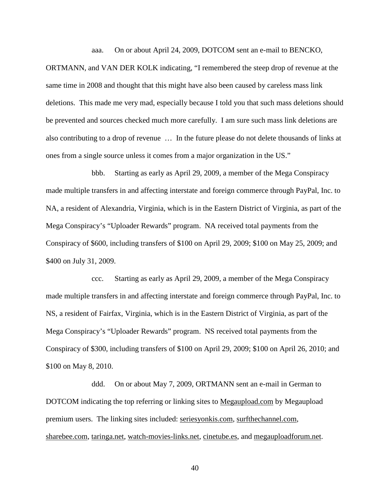aaa. On or about April 24, 2009, DOTCOM sent an e-mail to BENCKO,

ORTMANN, and VAN DER KOLK indicating, "I remembered the steep drop of revenue at the same time in 2008 and thought that this might have also been caused by careless mass link deletions. This made me very mad, especially because I told you that such mass deletions should be prevented and sources checked much more carefully. I am sure such mass link deletions are also contributing to a drop of revenue … In the future please do not delete thousands of links at ones from a single source unless it comes from a major organization in the US."

bbb. Starting as early as April 29, 2009, a member of the Mega Conspiracy made multiple transfers in and affecting interstate and foreign commerce through PayPal, Inc. to NA, a resident of Alexandria, Virginia, which is in the Eastern District of Virginia, as part of the Mega Conspiracy's "Uploader Rewards" program. NA received total payments from the Conspiracy of \$600, including transfers of \$100 on April 29, 2009; \$100 on May 25, 2009; and \$400 on July 31, 2009.

ccc. Starting as early as April 29, 2009, a member of the Mega Conspiracy made multiple transfers in and affecting interstate and foreign commerce through PayPal, Inc. to NS, a resident of Fairfax, Virginia, which is in the Eastern District of Virginia, as part of the Mega Conspiracy's "Uploader Rewards" program. NS received total payments from the Conspiracy of \$300, including transfers of \$100 on April 29, 2009; \$100 on April 26, 2010; and \$100 on May 8, 2010.

ddd. On or about May 7, 2009, ORTMANN sent an e-mail in German to DOTCOM indicating the top referring or linking sites to Megaupload.com by Megaupload premium users. The linking sites included: seriesyonkis.com, surfthechannel.com, sharebee.com, taringa.net, watch-movies-links.net, cinetube.es, and megauploadforum.net.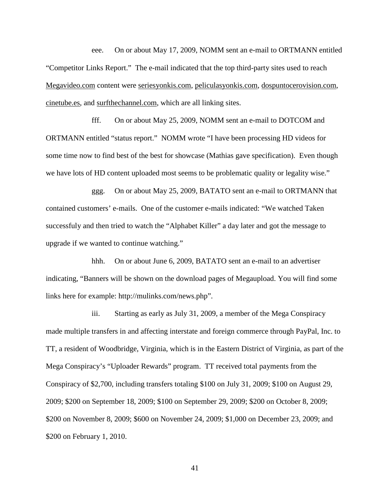eee. On or about May 17, 2009, NOMM sent an e-mail to ORTMANN entitled "Competitor Links Report." The e-mail indicated that the top third-party sites used to reach Megavideo.com content were seriesyonkis.com, peliculasyonkis.com, dospuntocerovision.com, cinetube.es, and surfthechannel.com, which are all linking sites.

fff. On or about May 25, 2009, NOMM sent an e-mail to DOTCOM and ORTMANN entitled "status report." NOMM wrote "I have been processing HD videos for some time now to find best of the best for showcase (Mathias gave specification). Even though we have lots of HD content uploaded most seems to be problematic quality or legality wise."

ggg. On or about May 25, 2009, BATATO sent an e-mail to ORTMANN that contained customers' e-mails. One of the customer e-mails indicated: "We watched Taken successfuly and then tried to watch the "Alphabet Killer" a day later and got the message to upgrade if we wanted to continue watching."

hhh. On or about June 6, 2009, BATATO sent an e-mail to an advertiser indicating, "Banners will be shown on the download pages of Megaupload. You will find some links here for example: http://mulinks.com/news.php".

iii. Starting as early as July 31, 2009, a member of the Mega Conspiracy made multiple transfers in and affecting interstate and foreign commerce through PayPal, Inc. to TT, a resident of Woodbridge, Virginia, which is in the Eastern District of Virginia, as part of the Mega Conspiracy's "Uploader Rewards" program. TT received total payments from the Conspiracy of \$2,700, including transfers totaling \$100 on July 31, 2009; \$100 on August 29, 2009; \$200 on September 18, 2009; \$100 on September 29, 2009; \$200 on October 8, 2009; \$200 on November 8, 2009; \$600 on November 24, 2009; \$1,000 on December 23, 2009; and \$200 on February 1, 2010.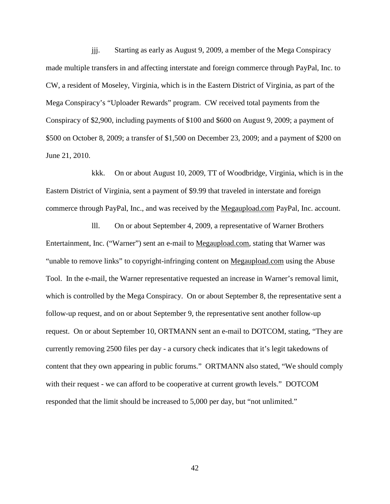jjj. Starting as early as August 9, 2009, a member of the Mega Conspiracy made multiple transfers in and affecting interstate and foreign commerce through PayPal, Inc. to CW, a resident of Moseley, Virginia, which is in the Eastern District of Virginia, as part of the Mega Conspiracy's "Uploader Rewards" program. CW received total payments from the Conspiracy of \$2,900, including payments of \$100 and \$600 on August 9, 2009; a payment of \$500 on October 8, 2009; a transfer of \$1,500 on December 23, 2009; and a payment of \$200 on June 21, 2010.

kkk. On or about August 10, 2009, TT of Woodbridge, Virginia, which is in the Eastern District of Virginia, sent a payment of \$9.99 that traveled in interstate and foreign commerce through PayPal, Inc., and was received by the Megaupload.com PayPal, Inc. account.

lll. On or about September 4, 2009, a representative of Warner Brothers Entertainment, Inc. ("Warner") sent an e-mail to Megaupload.com, stating that Warner was "unable to remove links" to copyright-infringing content on Megaupload.com using the Abuse Tool. In the e-mail, the Warner representative requested an increase in Warner's removal limit, which is controlled by the Mega Conspiracy. On or about September 8, the representative sent a follow-up request, and on or about September 9, the representative sent another follow-up request. On or about September 10, ORTMANN sent an e-mail to DOTCOM, stating, "They are currently removing 2500 files per day - a cursory check indicates that it's legit takedowns of content that they own appearing in public forums." ORTMANN also stated, "We should comply with their request - we can afford to be cooperative at current growth levels." DOTCOM responded that the limit should be increased to 5,000 per day, but "not unlimited."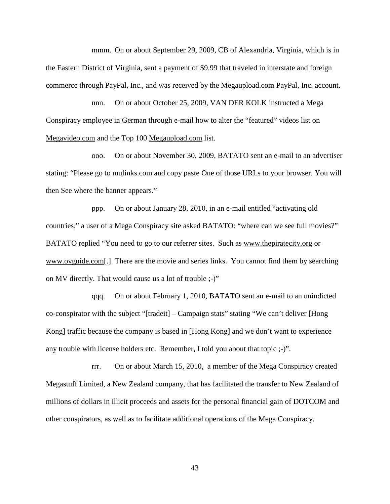mmm. On or about September 29, 2009, CB of Alexandria, Virginia, which is in the Eastern District of Virginia, sent a payment of \$9.99 that traveled in interstate and foreign commerce through PayPal, Inc., and was received by the Megaupload.com PayPal, Inc. account.

nnn. On or about October 25, 2009, VAN DER KOLK instructed a Mega Conspiracy employee in German through e-mail how to alter the "featured" videos list on Megavideo.com and the Top 100 Megaupload.com list.

ooo. On or about November 30, 2009, BATATO sent an e-mail to an advertiser stating: "Please go to mulinks.com and copy paste One of those URLs to your browser. You will then See where the banner appears."

ppp. On or about January 28, 2010, in an e-mail entitled "activating old countries," a user of a Mega Conspiracy site asked BATATO: "where can we see full movies?" BATATO replied "You need to go to our referrer sites. Such as www.thepiratecity.org or www.ovguide.com[.] There are the movie and series links. You cannot find them by searching on MV directly. That would cause us a lot of trouble ;-)"

qqq. On or about February 1, 2010, BATATO sent an e-mail to an unindicted co-conspirator with the subject "[tradeit] – Campaign stats" stating "We can't deliver [Hong Kong] traffic because the company is based in [Hong Kong] and we don't want to experience any trouble with license holders etc. Remember, I told you about that topic ;-)".

rrr. On or about March 15, 2010, a member of the Mega Conspiracy created Megastuff Limited, a New Zealand company, that has facilitated the transfer to New Zealand of millions of dollars in illicit proceeds and assets for the personal financial gain of DOTCOM and other conspirators, as well as to facilitate additional operations of the Mega Conspiracy.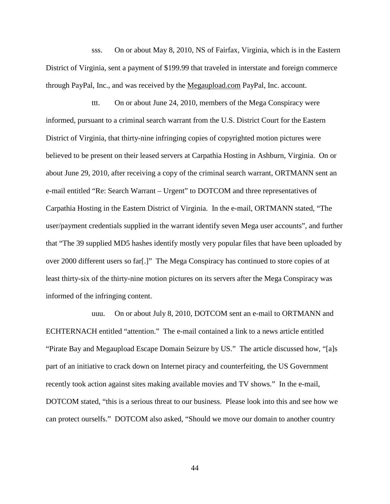sss. On or about May 8, 2010, NS of Fairfax, Virginia, which is in the Eastern District of Virginia, sent a payment of \$199.99 that traveled in interstate and foreign commerce through PayPal, Inc., and was received by the Megaupload.com PayPal, Inc. account.

ttt. On or about June 24, 2010, members of the Mega Conspiracy were informed, pursuant to a criminal search warrant from the U.S. District Court for the Eastern District of Virginia, that thirty-nine infringing copies of copyrighted motion pictures were believed to be present on their leased servers at Carpathia Hosting in Ashburn, Virginia. On or about June 29, 2010, after receiving a copy of the criminal search warrant, ORTMANN sent an e-mail entitled "Re: Search Warrant – Urgent" to DOTCOM and three representatives of Carpathia Hosting in the Eastern District of Virginia. In the e-mail, ORTMANN stated, "The user/payment credentials supplied in the warrant identify seven Mega user accounts", and further that "The 39 supplied MD5 hashes identify mostly very popular files that have been uploaded by over 2000 different users so far[.]" The Mega Conspiracy has continued to store copies of at least thirty-six of the thirty-nine motion pictures on its servers after the Mega Conspiracy was informed of the infringing content.

uuu. On or about July 8, 2010, DOTCOM sent an e-mail to ORTMANN and ECHTERNACH entitled "attention." The e-mail contained a link to a news article entitled "Pirate Bay and Megaupload Escape Domain Seizure by US." The article discussed how, "[a]s part of an initiative to crack down on Internet piracy and counterfeiting, the US Government recently took action against sites making available movies and TV shows." In the e-mail, DOTCOM stated, "this is a serious threat to our business. Please look into this and see how we can protect ourselfs." DOTCOM also asked, "Should we move our domain to another country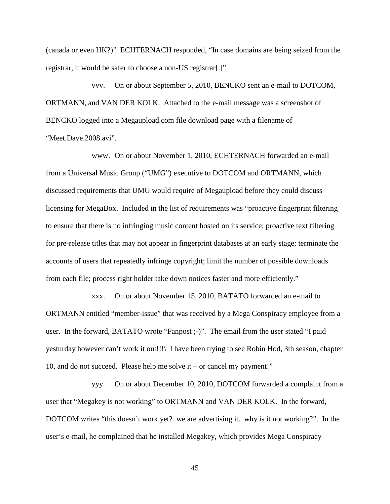(canada or even HK?)" ECHTERNACH responded, "In case domains are being seized from the registrar, it would be safer to choose a non-US registrar[.]"

vvv. On or about September 5, 2010, BENCKO sent an e-mail to DOTCOM, ORTMANN, and VAN DER KOLK. Attached to the e-mail message was a screenshot of BENCKO logged into a Megaupload.com file download page with a filename of "Meet.Dave.2008.avi".

www. On or about November 1, 2010, ECHTERNACH forwarded an e-mail from a Universal Music Group ("UMG") executive to DOTCOM and ORTMANN, which discussed requirements that UMG would require of Megaupload before they could discuss licensing for MegaBox. Included in the list of requirements was "proactive fingerprint filtering to ensure that there is no infringing music content hosted on its service; proactive text filtering for pre-release titles that may not appear in fingerprint databases at an early stage; terminate the accounts of users that repeatedly infringe copyright; limit the number of possible downloads from each file; process right holder take down notices faster and more efficiently."

xxx. On or about November 15, 2010, BATATO forwarded an e-mail to ORTMANN entitled "member-issue" that was received by a Mega Conspiracy employee from a user. In the forward, BATATO wrote "Fanpost ;-)". The email from the user stated "I paid yesturday however can't work it out!!!\ I have been trying to see Robin Hod, 3th season, chapter 10, and do not succeed. Please help me solve it – or cancel my payment!"

yyy. On or about December 10, 2010, DOTCOM forwarded a complaint from a user that "Megakey is not working" to ORTMANN and VAN DER KOLK. In the forward, DOTCOM writes "this doesn't work yet? we are advertising it. why is it not working?". In the user's e-mail, he complained that he installed Megakey, which provides Mega Conspiracy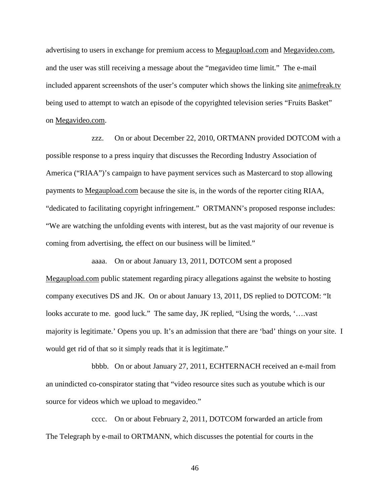advertising to users in exchange for premium access to Megaupload.com and Megavideo.com, and the user was still receiving a message about the "megavideo time limit." The e-mail included apparent screenshots of the user's computer which shows the linking site animefreak.tv being used to attempt to watch an episode of the copyrighted television series "Fruits Basket" on Megavideo.com.

zzz. On or about December 22, 2010, ORTMANN provided DOTCOM with a possible response to a press inquiry that discusses the Recording Industry Association of America ("RIAA")'s campaign to have payment services such as Mastercard to stop allowing payments to Megaupload.com because the site is, in the words of the reporter citing RIAA, "dedicated to facilitating copyright infringement." ORTMANN's proposed response includes: "We are watching the unfolding events with interest, but as the vast majority of our revenue is coming from advertising, the effect on our business will be limited."

aaaa. On or about January 13, 2011, DOTCOM sent a proposed Megaupload.com public statement regarding piracy allegations against the website to hosting company executives DS and JK. On or about January 13, 2011, DS replied to DOTCOM: "It looks accurate to me. good luck." The same day, JK replied, "Using the words, '….vast majority is legitimate.' Opens you up. It's an admission that there are 'bad' things on your site. I would get rid of that so it simply reads that it is legitimate."

bbbb. On or about January 27, 2011, ECHTERNACH received an e-mail from an unindicted co-conspirator stating that "video resource sites such as youtube which is our source for videos which we upload to megavideo."

cccc. On or about February 2, 2011, DOTCOM forwarded an article from The Telegraph by e-mail to ORTMANN, which discusses the potential for courts in the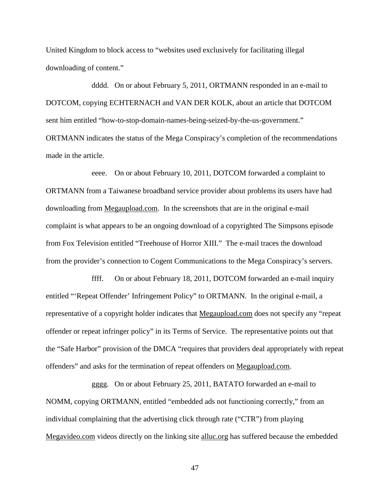United Kingdom to block access to "websites used exclusively for facilitating illegal downloading of content."

dddd. On or about February 5, 2011, ORTMANN responded in an e-mail to DOTCOM, copying ECHTERNACH and VAN DER KOLK, about an article that DOTCOM sent him entitled "how-to-stop-domain-names-being-seized-by-the-us-government." ORTMANN indicates the status of the Mega Conspiracy's completion of the recommendations made in the article.

eeee. On or about February 10, 2011, DOTCOM forwarded a complaint to ORTMANN from a Taiwanese broadband service provider about problems its users have had downloading from Megaupload.com. In the screenshots that are in the original e-mail complaint is what appears to be an ongoing download of a copyrighted The Simpsons episode from Fox Television entitled "Treehouse of Horror XIII." The e-mail traces the download from the provider's connection to Cogent Communications to the Mega Conspiracy's servers.

ffff. On or about February 18, 2011, DOTCOM forwarded an e-mail inquiry entitled "'Repeat Offender' Infringement Policy" to ORTMANN. In the original e-mail, a representative of a copyright holder indicates that Megaupload.com does not specify any "repeat offender or repeat infringer policy" in its Terms of Service. The representative points out that the "Safe Harbor" provision of the DMCA "requires that providers deal appropriately with repeat offenders" and asks for the termination of repeat offenders on Megaupload.com.

gggg. On or about February 25, 2011, BATATO forwarded an e-mail to NOMM, copying ORTMANN, entitled "embedded ads not functioning correctly," from an individual complaining that the advertising click through rate ("CTR") from playing Megavideo.com videos directly on the linking site alluc.org has suffered because the embedded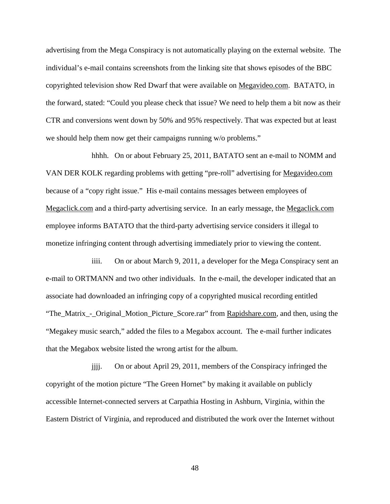advertising from the Mega Conspiracy is not automatically playing on the external website. The individual's e-mail contains screenshots from the linking site that shows episodes of the BBC copyrighted television show Red Dwarf that were available on Megavideo.com. BATATO, in the forward, stated: "Could you please check that issue? We need to help them a bit now as their CTR and conversions went down by 50% and 95% respectively. That was expected but at least we should help them now get their campaigns running w/o problems."

hhhh. On or about February 25, 2011, BATATO sent an e-mail to NOMM and VAN DER KOLK regarding problems with getting "pre-roll" advertising for Megavideo.com because of a "copy right issue." His e-mail contains messages between employees of Megaclick.com and a third-party advertising service. In an early message, the Megaclick.com employee informs BATATO that the third-party advertising service considers it illegal to monetize infringing content through advertising immediately prior to viewing the content.

iiii. On or about March 9, 2011, a developer for the Mega Conspiracy sent an e-mail to ORTMANN and two other individuals. In the e-mail, the developer indicated that an associate had downloaded an infringing copy of a copyrighted musical recording entitled "The\_Matrix\_-\_Original\_Motion\_Picture\_Score.rar" from Rapidshare.com, and then, using the "Megakey music search," added the files to a Megabox account. The e-mail further indicates that the Megabox website listed the wrong artist for the album.

jjjj. On or about April 29, 2011, members of the Conspiracy infringed the copyright of the motion picture "The Green Hornet" by making it available on publicly accessible Internet-connected servers at Carpathia Hosting in Ashburn, Virginia, within the Eastern District of Virginia, and reproduced and distributed the work over the Internet without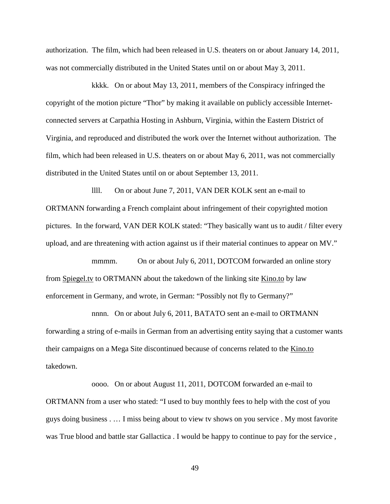authorization. The film, which had been released in U.S. theaters on or about January 14, 2011, was not commercially distributed in the United States until on or about May 3, 2011.

kkkk. On or about May 13, 2011, members of the Conspiracy infringed the copyright of the motion picture "Thor" by making it available on publicly accessible Internetconnected servers at Carpathia Hosting in Ashburn, Virginia, within the Eastern District of Virginia, and reproduced and distributed the work over the Internet without authorization. The film, which had been released in U.S. theaters on or about May 6, 2011, was not commercially distributed in the United States until on or about September 13, 2011.

llll. On or about June 7, 2011, VAN DER KOLK sent an e-mail to ORTMANN forwarding a French complaint about infringement of their copyrighted motion pictures. In the forward, VAN DER KOLK stated: "They basically want us to audit / filter every upload, and are threatening with action against us if their material continues to appear on MV."

mmm. On or about July 6, 2011, DOTCOM forwarded an online story from Spiegel.tv to ORTMANN about the takedown of the linking site Kino.to by law enforcement in Germany, and wrote, in German: "Possibly not fly to Germany?"

nnnn. On or about July 6, 2011, BATATO sent an e-mail to ORTMANN forwarding a string of e-mails in German from an advertising entity saying that a customer wants their campaigns on a Mega Site discontinued because of concerns related to the Kino.to takedown.

oooo. On or about August 11, 2011, DOTCOM forwarded an e-mail to ORTMANN from a user who stated: "I used to buy monthly fees to help with the cost of you guys doing business . … I miss being about to view tv shows on you service . My most favorite was True blood and battle star Gallactica . I would be happy to continue to pay for the service ,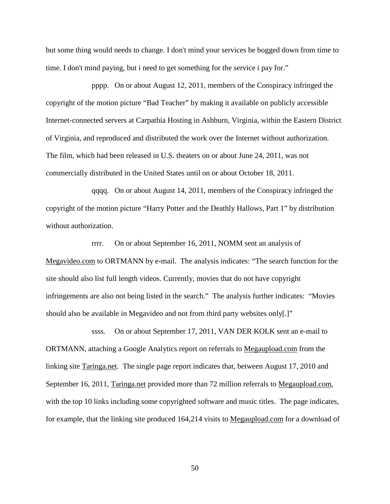but some thing would needs to change. I don't mind your services be bogged down from time to time. I don't mind paying, but i need to get something for the service i pay for."

pppp. On or about August 12, 2011, members of the Conspiracy infringed the copyright of the motion picture "Bad Teacher" by making it available on publicly accessible Internet-connected servers at Carpathia Hosting in Ashburn, Virginia, within the Eastern District of Virginia, and reproduced and distributed the work over the Internet without authorization. The film, which had been released in U.S. theaters on or about June 24, 2011, was not commercially distributed in the United States until on or about October 18, 2011.

qqqq. On or about August 14, 2011, members of the Conspiracy infringed the copyright of the motion picture "Harry Potter and the Deathly Hallows, Part 1" by distribution without authorization.

rrrr. On or about September 16, 2011, NOMM sent an analysis of Megavideo.com to ORTMANN by e-mail. The analysis indicates: "The search function for the site should also list full length videos. Currently, movies that do not have copyright infringements are also not being listed in the search." The analysis further indicates: "Movies should also be available in Megavideo and not from third party websites only[.]"

ssss. On or about September 17, 2011, VAN DER KOLK sent an e-mail to ORTMANN, attaching a Google Analytics report on referrals to Megaupload.com from the linking site Taringa.net. The single page report indicates that, between August 17, 2010 and September 16, 2011, Taringa.net provided more than 72 million referrals to Megaupload.com, with the top 10 links including some copyrighted software and music titles. The page indicates, for example, that the linking site produced 164,214 visits to Megaupload.com for a download of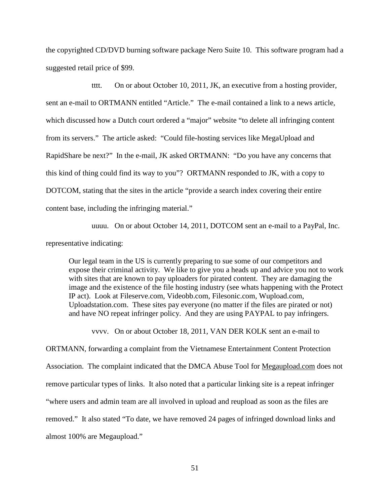the copyrighted CD/DVD burning software package Nero Suite 10. This software program had a suggested retail price of \$99.

tttt. On or about October 10, 2011, JK, an executive from a hosting provider, sent an e-mail to ORTMANN entitled "Article." The e-mail contained a link to a news article, which discussed how a Dutch court ordered a "major" website "to delete all infringing content from its servers." The article asked: "Could file-hosting services like MegaUpload and RapidShare be next?" In the e-mail, JK asked ORTMANN: "Do you have any concerns that this kind of thing could find its way to you"? ORTMANN responded to JK, with a copy to DOTCOM, stating that the sites in the article "provide a search index covering their entire content base, including the infringing material."

uuuu. On or about October 14, 2011, DOTCOM sent an e-mail to a PayPal, Inc.

representative indicating:

Our legal team in the US is currently preparing to sue some of our competitors and expose their criminal activity. We like to give you a heads up and advice you not to work with sites that are known to pay uploaders for pirated content. They are damaging the image and the existence of the file hosting industry (see whats happening with the Protect IP act). Look at Fileserve.com, Videobb.com, Filesonic.com, Wupload.com, Uploadstation.com. These sites pay everyone (no matter if the files are pirated or not) and have NO repeat infringer policy. And they are using PAYPAL to pay infringers.

vvvv. On or about October 18, 2011, VAN DER KOLK sent an e-mail to

ORTMANN, forwarding a complaint from the Vietnamese Entertainment Content Protection Association. The complaint indicated that the DMCA Abuse Tool for Megaupload.com does not remove particular types of links. It also noted that a particular linking site is a repeat infringer "where users and admin team are all involved in upload and reupload as soon as the files are removed." It also stated "To date, we have removed 24 pages of infringed download links and almost 100% are Megaupload."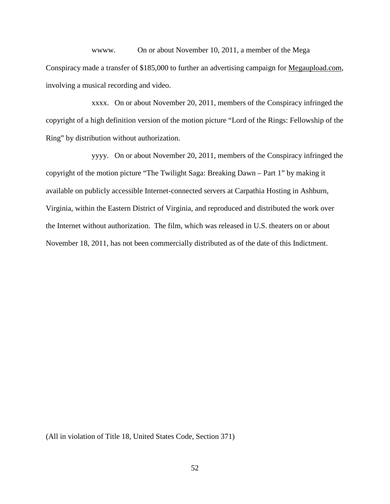wwww. On or about November 10, 2011, a member of the Mega Conspiracy made a transfer of \$185,000 to further an advertising campaign for Megaupload.com, involving a musical recording and video.

xxxx. On or about November 20, 2011, members of the Conspiracy infringed the copyright of a high definition version of the motion picture "Lord of the Rings: Fellowship of the Ring" by distribution without authorization.

yyyy. On or about November 20, 2011, members of the Conspiracy infringed the copyright of the motion picture "The Twilight Saga: Breaking Dawn – Part 1" by making it available on publicly accessible Internet-connected servers at Carpathia Hosting in Ashburn, Virginia, within the Eastern District of Virginia, and reproduced and distributed the work over the Internet without authorization. The film, which was released in U.S. theaters on or about November 18, 2011, has not been commercially distributed as of the date of this Indictment.

(All in violation of Title 18, United States Code, Section 371)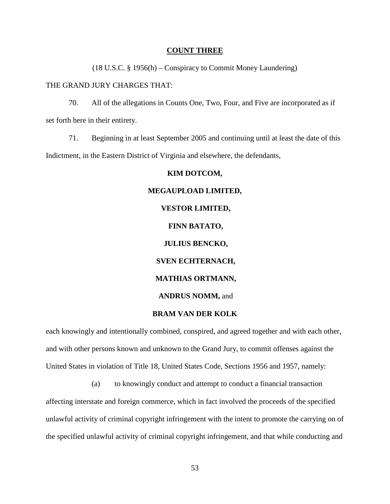#### **COUNT THREE**

(18 U.S.C. § 1956(h) – Conspiracy to Commit Money Laundering)

## THE GRAND JURY CHARGES THAT:

70. All of the allegations in Counts One, Two, Four, and Five are incorporated as if set forth here in their entirety.

71. Beginning in at least September 2005 and continuing until at least the date of this Indictment, in the Eastern District of Virginia and elsewhere, the defendants,

#### **KIM DOTCOM,**

## **MEGAUPLOAD LIMITED, VESTOR LIMITED, FINN BATATO, JULIUS BENCKO, SVEN ECHTERNACH, MATHIAS ORTMANN, ANDRUS NOMM,** and **BRAM VAN DER KOLK**

each knowingly and intentionally combined, conspired, and agreed together and with each other, and with other persons known and unknown to the Grand Jury, to commit offenses against the United States in violation of Title 18, United States Code, Sections 1956 and 1957, namely:

(a) to knowingly conduct and attempt to conduct a financial transaction affecting interstate and foreign commerce, which in fact involved the proceeds of the specified unlawful activity of criminal copyright infringement with the intent to promote the carrying on of the specified unlawful activity of criminal copyright infringement, and that while conducting and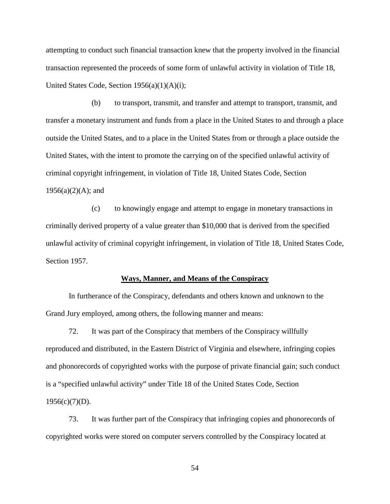attempting to conduct such financial transaction knew that the property involved in the financial transaction represented the proceeds of some form of unlawful activity in violation of Title 18, United States Code, Section 1956(a)(1)(A)(i);

(b) to transport, transmit, and transfer and attempt to transport, transmit, and transfer a monetary instrument and funds from a place in the United States to and through a place outside the United States, and to a place in the United States from or through a place outside the United States, with the intent to promote the carrying on of the specified unlawful activity of criminal copyright infringement, in violation of Title 18, United States Code, Section  $1956(a)(2)(A)$ ; and

(c) to knowingly engage and attempt to engage in monetary transactions in criminally derived property of a value greater than \$10,000 that is derived from the specified unlawful activity of criminal copyright infringement, in violation of Title 18, United States Code, Section 1957.

#### **Ways, Manner, and Means of the Conspiracy**

In furtherance of the Conspiracy, defendants and others known and unknown to the Grand Jury employed, among others, the following manner and means:

72. It was part of the Conspiracy that members of the Conspiracy willfully reproduced and distributed, in the Eastern District of Virginia and elsewhere, infringing copies and phonorecords of copyrighted works with the purpose of private financial gain; such conduct is a "specified unlawful activity" under Title 18 of the United States Code, Section  $1956(c)(7)(D)$ .

73. It was further part of the Conspiracy that infringing copies and phonorecords of copyrighted works were stored on computer servers controlled by the Conspiracy located at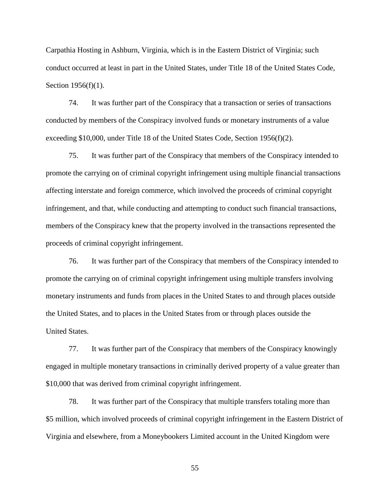Carpathia Hosting in Ashburn, Virginia, which is in the Eastern District of Virginia; such conduct occurred at least in part in the United States, under Title 18 of the United States Code, Section 1956(f)(1).

74. It was further part of the Conspiracy that a transaction or series of transactions conducted by members of the Conspiracy involved funds or monetary instruments of a value exceeding \$10,000, under Title 18 of the United States Code, Section 1956(f)(2).

75. It was further part of the Conspiracy that members of the Conspiracy intended to promote the carrying on of criminal copyright infringement using multiple financial transactions affecting interstate and foreign commerce, which involved the proceeds of criminal copyright infringement, and that, while conducting and attempting to conduct such financial transactions, members of the Conspiracy knew that the property involved in the transactions represented the proceeds of criminal copyright infringement.

76. It was further part of the Conspiracy that members of the Conspiracy intended to promote the carrying on of criminal copyright infringement using multiple transfers involving monetary instruments and funds from places in the United States to and through places outside the United States, and to places in the United States from or through places outside the United States.

77. It was further part of the Conspiracy that members of the Conspiracy knowingly engaged in multiple monetary transactions in criminally derived property of a value greater than \$10,000 that was derived from criminal copyright infringement.

78. It was further part of the Conspiracy that multiple transfers totaling more than \$5 million, which involved proceeds of criminal copyright infringement in the Eastern District of Virginia and elsewhere, from a Moneybookers Limited account in the United Kingdom were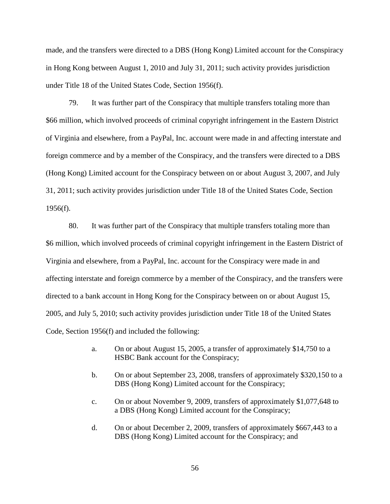made, and the transfers were directed to a DBS (Hong Kong) Limited account for the Conspiracy in Hong Kong between August 1, 2010 and July 31, 2011; such activity provides jurisdiction under Title 18 of the United States Code, Section 1956(f).

79. It was further part of the Conspiracy that multiple transfers totaling more than \$66 million, which involved proceeds of criminal copyright infringement in the Eastern District of Virginia and elsewhere, from a PayPal, Inc. account were made in and affecting interstate and foreign commerce and by a member of the Conspiracy, and the transfers were directed to a DBS (Hong Kong) Limited account for the Conspiracy between on or about August 3, 2007, and July 31, 2011; such activity provides jurisdiction under Title 18 of the United States Code, Section  $1956(f)$ .

80. It was further part of the Conspiracy that multiple transfers totaling more than \$6 million, which involved proceeds of criminal copyright infringement in the Eastern District of Virginia and elsewhere, from a PayPal, Inc. account for the Conspiracy were made in and affecting interstate and foreign commerce by a member of the Conspiracy, and the transfers were directed to a bank account in Hong Kong for the Conspiracy between on or about August 15, 2005, and July 5, 2010; such activity provides jurisdiction under Title 18 of the United States Code, Section 1956(f) and included the following:

- a. On or about August 15, 2005, a transfer of approximately \$14,750 to a HSBC Bank account for the Conspiracy;
- b. On or about September 23, 2008, transfers of approximately \$320,150 to a DBS (Hong Kong) Limited account for the Conspiracy;
- c. On or about November 9, 2009, transfers of approximately \$1,077,648 to a DBS (Hong Kong) Limited account for the Conspiracy;
- d. On or about December 2, 2009, transfers of approximately \$667,443 to a DBS (Hong Kong) Limited account for the Conspiracy; and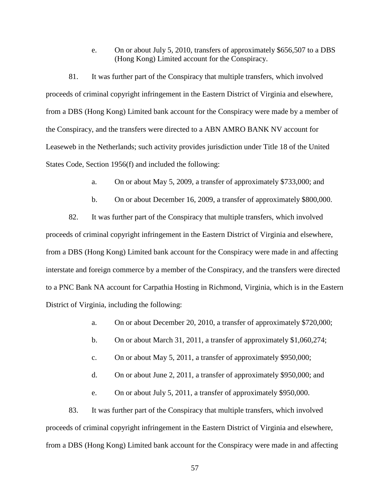e. On or about July 5, 2010, transfers of approximately \$656,507 to a DBS (Hong Kong) Limited account for the Conspiracy.

81. It was further part of the Conspiracy that multiple transfers, which involved proceeds of criminal copyright infringement in the Eastern District of Virginia and elsewhere, from a DBS (Hong Kong) Limited bank account for the Conspiracy were made by a member of the Conspiracy, and the transfers were directed to a ABN AMRO BANK NV account for Leaseweb in the Netherlands; such activity provides jurisdiction under Title 18 of the United States Code, Section 1956(f) and included the following:

a. On or about May 5, 2009, a transfer of approximately \$733,000; and

b. On or about December 16, 2009, a transfer of approximately \$800,000.

82. It was further part of the Conspiracy that multiple transfers, which involved proceeds of criminal copyright infringement in the Eastern District of Virginia and elsewhere, from a DBS (Hong Kong) Limited bank account for the Conspiracy were made in and affecting interstate and foreign commerce by a member of the Conspiracy, and the transfers were directed to a PNC Bank NA account for Carpathia Hosting in Richmond, Virginia, which is in the Eastern District of Virginia, including the following:

- a. On or about December 20, 2010, a transfer of approximately \$720,000;
- b. On or about March 31, 2011, a transfer of approximately \$1,060,274;
- c. On or about May 5, 2011, a transfer of approximately \$950,000;
- d. On or about June 2, 2011, a transfer of approximately \$950,000; and

e. On or about July 5, 2011, a transfer of approximately \$950,000.

83. It was further part of the Conspiracy that multiple transfers, which involved proceeds of criminal copyright infringement in the Eastern District of Virginia and elsewhere, from a DBS (Hong Kong) Limited bank account for the Conspiracy were made in and affecting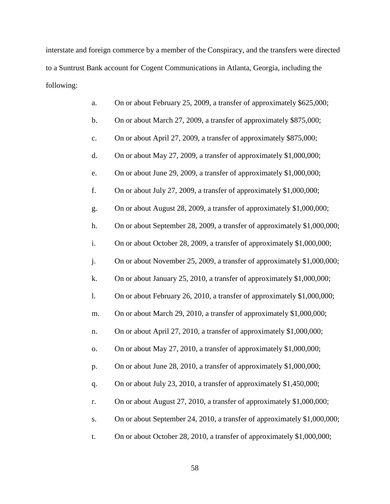interstate and foreign commerce by a member of the Conspiracy, and the transfers were directed to a Suntrust Bank account for Cogent Communications in Atlanta, Georgia, including the following:

| a.             | On or about February 25, 2009, a transfer of approximately \$625,000;    |
|----------------|--------------------------------------------------------------------------|
| $\mathbf b$ .  | On or about March 27, 2009, a transfer of approximately \$875,000;       |
| $\mathbf{c}$ . | On or about April 27, 2009, a transfer of approximately \$875,000;       |
| d.             | On or about May 27, 2009, a transfer of approximately \$1,000,000;       |
| e.             | On or about June 29, 2009, a transfer of approximately \$1,000,000;      |
| f.             | On or about July 27, 2009, a transfer of approximately \$1,000,000;      |
| g.             | On or about August 28, 2009, a transfer of approximately \$1,000,000;    |
| h.             | On or about September 28, 2009, a transfer of approximately \$1,000,000; |
| i.             | On or about October 28, 2009, a transfer of approximately \$1,000,000;   |
| j.             | On or about November 25, 2009, a transfer of approximately \$1,000,000;  |
| k.             | On or about January 25, 2010, a transfer of approximately \$1,000,000;   |
| 1.             | On or about February 26, 2010, a transfer of approximately \$1,000,000;  |
| m.             | On or about March 29, 2010, a transfer of approximately \$1,000,000;     |
| n.             | On or about April 27, 2010, a transfer of approximately \$1,000,000;     |
| 0.             | On or about May 27, 2010, a transfer of approximately \$1,000,000;       |
| p.             | On or about June 28, 2010, a transfer of approximately \$1,000,000;      |
| q.             | On or about July 23, 2010, a transfer of approximately \$1,450,000;      |
| r.             | On or about August 27, 2010, a transfer of approximately \$1,000,000;    |
| S.             | On or about September 24, 2010, a transfer of approximately \$1,000,000; |
| t.             | On or about October 28, 2010, a transfer of approximately \$1,000,000;   |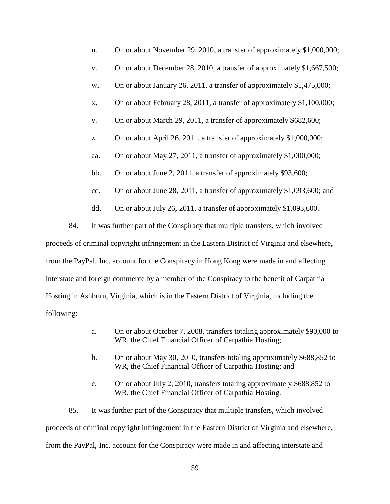| u.  | On or about November 29, 2010, a transfer of approximately \$1,000,000; |
|-----|-------------------------------------------------------------------------|
| V.  | On or about December 28, 2010, a transfer of approximately \$1,667,500; |
| w.  | On or about January 26, 2011, a transfer of approximately \$1,475,000;  |
| X.  | On or about February 28, 2011, a transfer of approximately \$1,100,000; |
| y.  | On or about March 29, 2011, a transfer of approximately \$682,600;      |
| z.  | On or about April 26, 2011, a transfer of approximately \$1,000,000;    |
| aa. | On or about May 27, 2011, a transfer of approximately \$1,000,000;      |
| bb. | On or about June 2, 2011, a transfer of approximately \$93,600;         |
| cc. | On or about June 28, 2011, a transfer of approximately \$1,093,600; and |
|     |                                                                         |

dd. On or about July 26, 2011, a transfer of approximately \$1,093,600.

84. It was further part of the Conspiracy that multiple transfers, which involved proceeds of criminal copyright infringement in the Eastern District of Virginia and elsewhere, from the PayPal, Inc. account for the Conspiracy in Hong Kong were made in and affecting interstate and foreign commerce by a member of the Conspiracy to the benefit of Carpathia Hosting in Ashburn, Virginia, which is in the Eastern District of Virginia, including the following:

- a. On or about October 7, 2008, transfers totaling approximately \$90,000 to WR, the Chief Financial Officer of Carpathia Hosting;
- b. On or about May 30, 2010, transfers totaling approximately \$688,852 to WR, the Chief Financial Officer of Carpathia Hosting; and
- c. On or about July 2, 2010, transfers totaling approximately \$688,852 to WR, the Chief Financial Officer of Carpathia Hosting.

85. It was further part of the Conspiracy that multiple transfers, which involved proceeds of criminal copyright infringement in the Eastern District of Virginia and elsewhere, from the PayPal, Inc. account for the Conspiracy were made in and affecting interstate and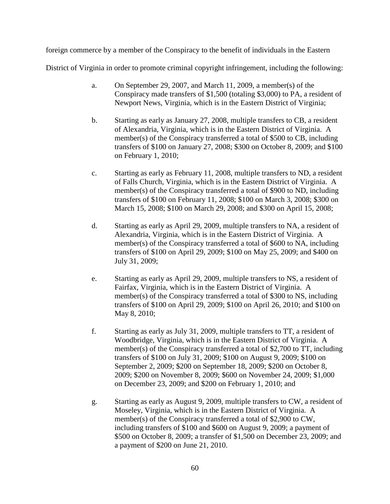foreign commerce by a member of the Conspiracy to the benefit of individuals in the Eastern

District of Virginia in order to promote criminal copyright infringement, including the following:

- a. On September 29, 2007, and March 11, 2009, a member(s) of the Conspiracy made transfers of \$1,500 (totaling \$3,000) to PA, a resident of Newport News, Virginia, which is in the Eastern District of Virginia;
- b. Starting as early as January 27, 2008, multiple transfers to CB, a resident of Alexandria, Virginia, which is in the Eastern District of Virginia. A member(s) of the Conspiracy transferred a total of \$500 to CB, including transfers of \$100 on January 27, 2008; \$300 on October 8, 2009; and \$100 on February 1, 2010;
- c. Starting as early as February 11, 2008, multiple transfers to ND, a resident of Falls Church, Virginia, which is in the Eastern District of Virginia. A member(s) of the Conspiracy transferred a total of \$900 to ND, including transfers of \$100 on February 11, 2008; \$100 on March 3, 2008; \$300 on March 15, 2008; \$100 on March 29, 2008; and \$300 on April 15, 2008;
- d. Starting as early as April 29, 2009, multiple transfers to NA, a resident of Alexandria, Virginia, which is in the Eastern District of Virginia. A member(s) of the Conspiracy transferred a total of \$600 to NA, including transfers of \$100 on April 29, 2009; \$100 on May 25, 2009; and \$400 on July 31, 2009;
- e. Starting as early as April 29, 2009, multiple transfers to NS, a resident of Fairfax, Virginia, which is in the Eastern District of Virginia. A member(s) of the Conspiracy transferred a total of \$300 to NS, including transfers of \$100 on April 29, 2009; \$100 on April 26, 2010; and \$100 on May 8, 2010;
- f. Starting as early as July 31, 2009, multiple transfers to TT, a resident of Woodbridge, Virginia, which is in the Eastern District of Virginia. A member(s) of the Conspiracy transferred a total of \$2,700 to TT, including transfers of \$100 on July 31, 2009; \$100 on August 9, 2009; \$100 on September 2, 2009; \$200 on September 18, 2009; \$200 on October 8, 2009; \$200 on November 8, 2009; \$600 on November 24, 2009; \$1,000 on December 23, 2009; and \$200 on February 1, 2010; and
- g. Starting as early as August 9, 2009, multiple transfers to CW, a resident of Moseley, Virginia, which is in the Eastern District of Virginia. A member(s) of the Conspiracy transferred a total of \$2,900 to CW, including transfers of \$100 and \$600 on August 9, 2009; a payment of \$500 on October 8, 2009; a transfer of \$1,500 on December 23, 2009; and a payment of \$200 on June 21, 2010.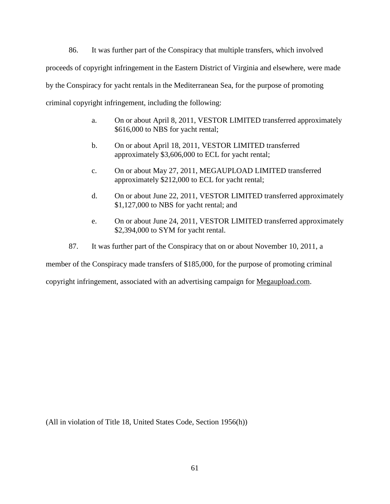86. It was further part of the Conspiracy that multiple transfers, which involved proceeds of copyright infringement in the Eastern District of Virginia and elsewhere, were made by the Conspiracy for yacht rentals in the Mediterranean Sea, for the purpose of promoting criminal copyright infringement, including the following:

- a. On or about April 8, 2011, VESTOR LIMITED transferred approximately \$616,000 to NBS for yacht rental;
- b. On or about April 18, 2011, VESTOR LIMITED transferred approximately \$3,606,000 to ECL for yacht rental;
- c. On or about May 27, 2011, MEGAUPLOAD LIMITED transferred approximately \$212,000 to ECL for yacht rental;
- d. On or about June 22, 2011, VESTOR LIMITED transferred approximately \$1,127,000 to NBS for yacht rental; and
- e. On or about June 24, 2011, VESTOR LIMITED transferred approximately \$2,394,000 to SYM for yacht rental.
- 87. It was further part of the Conspiracy that on or about November 10, 2011, a

member of the Conspiracy made transfers of \$185,000, for the purpose of promoting criminal

copyright infringement, associated with an advertising campaign for Megaupload.com.

(All in violation of Title 18, United States Code, Section 1956(h))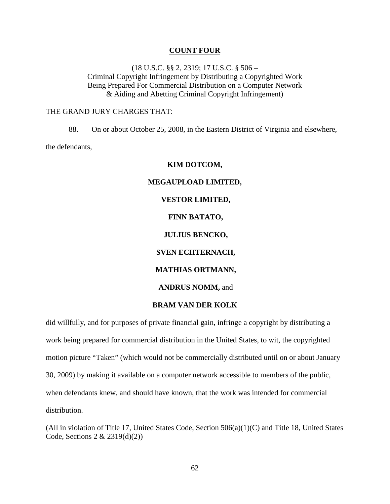#### **COUNT FOUR**

(18 U.S.C. §§ 2, 2319; 17 U.S.C. § 506 – Criminal Copyright Infringement by Distributing a Copyrighted Work Being Prepared For Commercial Distribution on a Computer Network & Aiding and Abetting Criminal Copyright Infringement)

#### THE GRAND JURY CHARGES THAT:

88. On or about October 25, 2008, in the Eastern District of Virginia and elsewhere, the defendants,

# **KIM DOTCOM, MEGAUPLOAD LIMITED, VESTOR LIMITED, FINN BATATO, JULIUS BENCKO, SVEN ECHTERNACH, MATHIAS ORTMANN, ANDRUS NOMM,** and

## **BRAM VAN DER KOLK**

did willfully, and for purposes of private financial gain, infringe a copyright by distributing a work being prepared for commercial distribution in the United States, to wit, the copyrighted motion picture "Taken" (which would not be commercially distributed until on or about January 30, 2009) by making it available on a computer network accessible to members of the public, when defendants knew, and should have known, that the work was intended for commercial distribution.

(All in violation of Title 17, United States Code, Section 506(a)(1)(C) and Title 18, United States Code, Sections 2 & 2319(d)(2))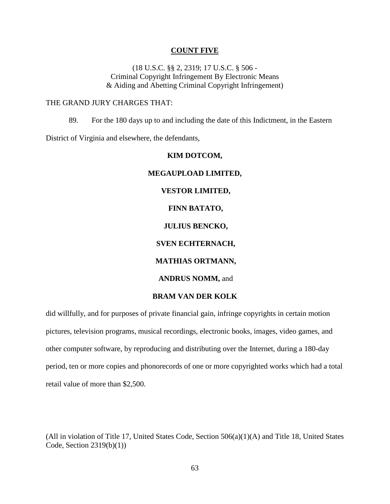#### **COUNT FIVE**

(18 U.S.C. §§ 2, 2319; 17 U.S.C. § 506 - Criminal Copyright Infringement By Electronic Means & Aiding and Abetting Criminal Copyright Infringement)

#### THE GRAND JURY CHARGES THAT:

89. For the 180 days up to and including the date of this Indictment, in the Eastern

District of Virginia and elsewhere, the defendants,

## **KIM DOTCOM, MEGAUPLOAD LIMITED, VESTOR LIMITED, FINN BATATO, JULIUS BENCKO, SVEN ECHTERNACH, MATHIAS ORTMANN, ANDRUS NOMM,** and **BRAM VAN DER KOLK**

did willfully, and for purposes of private financial gain, infringe copyrights in certain motion pictures, television programs, musical recordings, electronic books, images, video games, and other computer software, by reproducing and distributing over the Internet, during a 180-day period, ten or more copies and phonorecords of one or more copyrighted works which had a total retail value of more than \$2,500.

(All in violation of Title 17, United States Code, Section 506(a)(1)(A) and Title 18, United States Code, Section 2319(b)(1))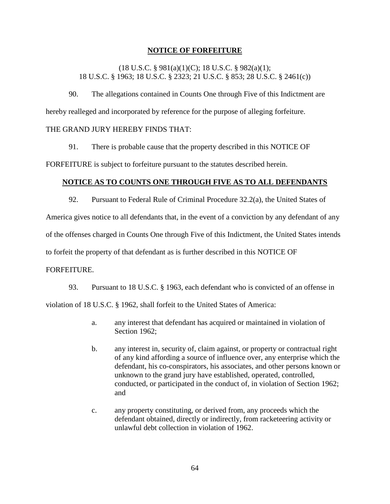## **NOTICE OF FORFEITURE**

(18 U.S.C. § 981(a)(1)(C); 18 U.S.C. § 982(a)(1); 18 U.S.C. § 1963; 18 U.S.C. § 2323; 21 U.S.C. § 853; 28 U.S.C. § 2461(c))

90. The allegations contained in Counts One through Five of this Indictment are hereby realleged and incorporated by reference for the purpose of alleging forfeiture.

### THE GRAND JURY HEREBY FINDS THAT:

91. There is probable cause that the property described in this NOTICE OF

FORFEITURE is subject to forfeiture pursuant to the statutes described herein.

## **NOTICE AS TO COUNTS ONE THROUGH FIVE AS TO ALL DEFENDANTS**

92. Pursuant to Federal Rule of Criminal Procedure 32.2(a), the United States of

America gives notice to all defendants that, in the event of a conviction by any defendant of any

of the offenses charged in Counts One through Five of this Indictment, the United States intends

to forfeit the property of that defendant as is further described in this NOTICE OF

#### FORFEITURE.

93. Pursuant to 18 U.S.C. § 1963, each defendant who is convicted of an offense in violation of 18 U.S.C. § 1962, shall forfeit to the United States of America:

- a. any interest that defendant has acquired or maintained in violation of Section 1962:
- b. any interest in, security of, claim against, or property or contractual right of any kind affording a source of influence over, any enterprise which the defendant, his co-conspirators, his associates, and other persons known or unknown to the grand jury have established, operated, controlled, conducted, or participated in the conduct of, in violation of Section 1962; and
- c. any property constituting, or derived from, any proceeds which the defendant obtained, directly or indirectly, from racketeering activity or unlawful debt collection in violation of 1962.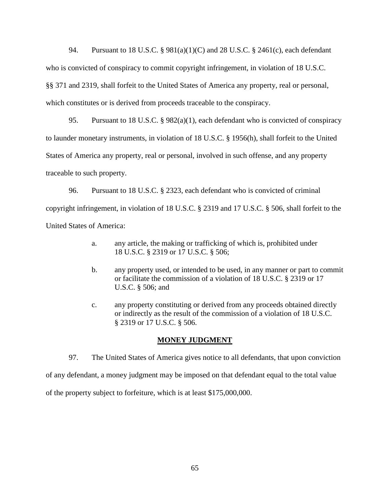94. Pursuant to 18 U.S.C. § 981(a)(1)(C) and 28 U.S.C. § 2461(c), each defendant who is convicted of conspiracy to commit copyright infringement, in violation of 18 U.S.C. §§ 371 and 2319, shall forfeit to the United States of America any property, real or personal, which constitutes or is derived from proceeds traceable to the conspiracy.

95. Pursuant to 18 U.S.C. §  $982(a)(1)$ , each defendant who is convicted of conspiracy to launder monetary instruments, in violation of 18 U.S.C. § 1956(h), shall forfeit to the United States of America any property, real or personal, involved in such offense, and any property traceable to such property.

96. Pursuant to 18 U.S.C. § 2323, each defendant who is convicted of criminal copyright infringement, in violation of 18 U.S.C. § 2319 and 17 U.S.C. § 506, shall forfeit to the United States of America:

- a. any article, the making or trafficking of which is, prohibited under 18 U.S.C. § 2319 or 17 U.S.C. § 506;
- b. any property used, or intended to be used, in any manner or part to commit or facilitate the commission of a violation of 18 U.S.C. § 2319 or 17 U.S.C. § 506; and
- c. any property constituting or derived from any proceeds obtained directly or indirectly as the result of the commission of a violation of 18 U.S.C. § 2319 or 17 U.S.C. § 506.

## **MONEY JUDGMENT**

97. The United States of America gives notice to all defendants, that upon conviction of any defendant, a money judgment may be imposed on that defendant equal to the total value of the property subject to forfeiture, which is at least \$175,000,000.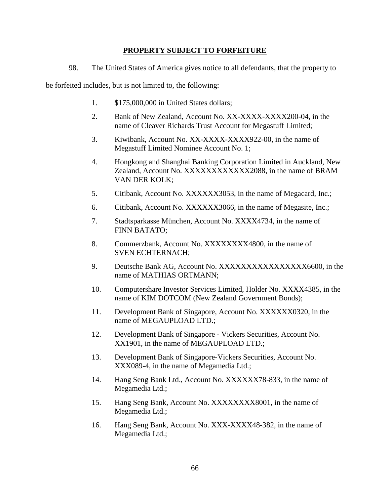## **PROPERTY SUBJECT TO FORFEITURE**

98. The United States of America gives notice to all defendants, that the property to

be forfeited includes, but is not limited to, the following:

- 1. \$175,000,000 in United States dollars;
- 2. Bank of New Zealand, Account No. XX-XXXX-XXXX200-04, in the name of Cleaver Richards Trust Account for Megastuff Limited;
- 3. Kiwibank, Account No. XX-XXXX-XXXX922-00, in the name of Megastuff Limited Nominee Account No. 1;
- 4. Hongkong and Shanghai Banking Corporation Limited in Auckland, New Zealand, Account No. XXXXXXXXXXXX2088, in the name of BRAM VAN DER KOLK;
- 5. Citibank, Account No. XXXXXX3053, in the name of Megacard, Inc.;
- 6. Citibank, Account No. XXXXXX3066, in the name of Megasite, Inc.;
- 7. Stadtsparkasse München, Account No. XXXX4734, in the name of FINN BATATO;
- 8. Commerzbank, Account No. XXXXXXXX4800, in the name of SVEN ECHTERNACH;
- 9. Deutsche Bank AG, Account No. XXXXXXXXXXXXXXXXX6600, in the name of MATHIAS ORTMANN;
- 10. Computershare Investor Services Limited, Holder No. XXXX4385, in the name of KIM DOTCOM (New Zealand Government Bonds);
- 11. Development Bank of Singapore, Account No. XXXXXX0320, in the name of MEGAUPLOAD LTD.;
- 12. Development Bank of Singapore Vickers Securities, Account No. XX1901, in the name of MEGAUPLOAD LTD.;
- 13. Development Bank of Singapore-Vickers Securities, Account No. XXX089-4, in the name of Megamedia Ltd.;
- 14. Hang Seng Bank Ltd., Account No. XXXXXX78-833, in the name of Megamedia Ltd.;
- 15. Hang Seng Bank, Account No. XXXXXXXX8001, in the name of Megamedia Ltd.;
- 16. Hang Seng Bank, Account No. XXX-XXXX48-382, in the name of Megamedia Ltd.;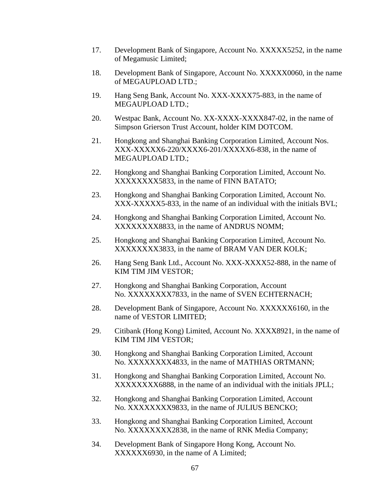- 17. Development Bank of Singapore, Account No. XXXXX5252, in the name of Megamusic Limited;
- 18. Development Bank of Singapore, Account No. XXXXX0060, in the name of MEGAUPLOAD LTD.;
- 19. Hang Seng Bank, Account No. XXX-XXXX75-883, in the name of MEGAUPLOAD LTD.;
- 20. Westpac Bank, Account No. XX-XXXX-XXXX847-02, in the name of Simpson Grierson Trust Account, holder KIM DOTCOM.
- 21. Hongkong and Shanghai Banking Corporation Limited, Account Nos. XXX-XXXXX6-220/XXXX6-201/XXXXX6-838, in the name of MEGAUPLOAD LTD.;
- 22. Hongkong and Shanghai Banking Corporation Limited, Account No. XXXXXXXX5833, in the name of FINN BATATO;
- 23. Hongkong and Shanghai Banking Corporation Limited, Account No. XXX-XXXXX5-833, in the name of an individual with the initials BVL;
- 24. Hongkong and Shanghai Banking Corporation Limited, Account No. XXXXXXXX8833, in the name of ANDRUS NOMM;
- 25. Hongkong and Shanghai Banking Corporation Limited, Account No. XXXXXXXX3833, in the name of BRAM VAN DER KOLK;
- 26. Hang Seng Bank Ltd., Account No. XXX-XXXX52-888, in the name of KIM TIM JIM VESTOR;
- 27. Hongkong and Shanghai Banking Corporation, Account No. XXXXXXXX7833, in the name of SVEN ECHTERNACH;
- 28. Development Bank of Singapore, Account No. XXXXXX6160, in the name of VESTOR LIMITED;
- 29. Citibank (Hong Kong) Limited, Account No. XXXX8921, in the name of KIM TIM JIM VESTOR;
- 30. Hongkong and Shanghai Banking Corporation Limited, Account No. XXXXXXXX4833, in the name of MATHIAS ORTMANN;
- 31. Hongkong and Shanghai Banking Corporation Limited, Account No. XXXXXXXX6888, in the name of an individual with the initials JPLL;
- 32. Hongkong and Shanghai Banking Corporation Limited, Account No. XXXXXXXX9833, in the name of JULIUS BENCKO;
- 33. Hongkong and Shanghai Banking Corporation Limited, Account No. XXXXXXXX2838, in the name of RNK Media Company;
- 34. Development Bank of Singapore Hong Kong, Account No. XXXXXX6930, in the name of A Limited;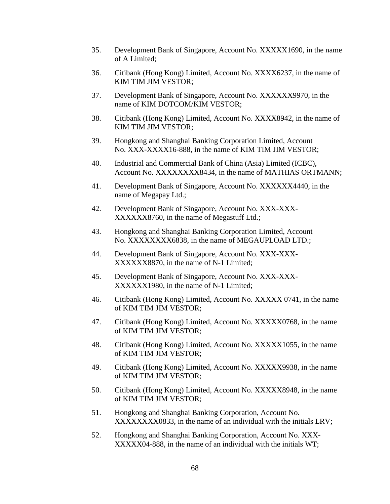- 35. Development Bank of Singapore, Account No. XXXXX1690, in the name of A Limited;
- 36. Citibank (Hong Kong) Limited, Account No. XXXX6237, in the name of KIM TIM JIM VESTOR;
- 37. Development Bank of Singapore, Account No. XXXXXX9970, in the name of KIM DOTCOM/KIM VESTOR;
- 38. Citibank (Hong Kong) Limited, Account No. XXXX8942, in the name of KIM TIM JIM VESTOR;
- 39. Hongkong and Shanghai Banking Corporation Limited, Account No. XXX-XXXX16-888, in the name of KIM TIM JIM VESTOR;
- 40. Industrial and Commercial Bank of China (Asia) Limited (ICBC), Account No. XXXXXXXX8434, in the name of MATHIAS ORTMANN;
- 41. Development Bank of Singapore, Account No. XXXXXX4440, in the name of Megapay Ltd.;
- 42. Development Bank of Singapore, Account No. XXX-XXX-XXXXXX8760, in the name of Megastuff Ltd.;
- 43. Hongkong and Shanghai Banking Corporation Limited, Account No. XXXXXXXX6838, in the name of MEGAUPLOAD LTD.;
- 44. Development Bank of Singapore, Account No. XXX-XXX-XXXXXX8870, in the name of N-1 Limited;
- 45. Development Bank of Singapore, Account No. XXX-XXX-XXXXXX1980, in the name of N-1 Limited;
- 46. Citibank (Hong Kong) Limited, Account No. XXXXX 0741, in the name of KIM TIM JIM VESTOR;
- 47. Citibank (Hong Kong) Limited, Account No. XXXXX0768, in the name of KIM TIM JIM VESTOR;
- 48. Citibank (Hong Kong) Limited, Account No. XXXXX1055, in the name of KIM TIM JIM VESTOR;
- 49. Citibank (Hong Kong) Limited, Account No. XXXXX9938, in the name of KIM TIM JIM VESTOR;
- 50. Citibank (Hong Kong) Limited, Account No. XXXXX8948, in the name of KIM TIM JIM VESTOR;
- 51. Hongkong and Shanghai Banking Corporation, Account No. XXXXXXXX0833, in the name of an individual with the initials LRV;
- 52. Hongkong and Shanghai Banking Corporation, Account No. XXX-XXXXX04-888, in the name of an individual with the initials WT;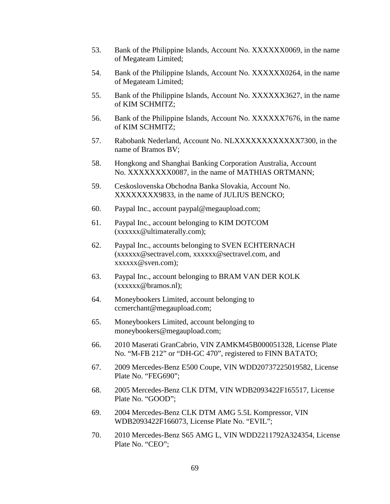- 53. Bank of the Philippine Islands, Account No. XXXXXX0069, in the name of Megateam Limited;
- 54. Bank of the Philippine Islands, Account No. XXXXXX0264, in the name of Megateam Limited;
- 55. Bank of the Philippine Islands, Account No. XXXXXX3627, in the name of KIM SCHMITZ;
- 56. Bank of the Philippine Islands, Account No. XXXXXX7676, in the name of KIM SCHMITZ;
- 57. Rabobank Nederland, Account No. NLXXXXXXXXXXXX7300, in the name of Bramos BV;
- 58. Hongkong and Shanghai Banking Corporation Australia, Account No. XXXXXXXX0087, in the name of MATHIAS ORTMANN;
- 59. Ceskoslovenska Obchodna Banka Slovakia, Account No. XXXXXXXX9833, in the name of JULIUS BENCKO;
- 60. Paypal Inc., account paypal@megaupload.com;
- 61. Paypal Inc., account belonging to KIM DOTCOM (xxxxxx@ultimaterally.com);
- 62. Paypal Inc., accounts belonging to SVEN ECHTERNACH (xxxxxx@sectravel.com, xxxxxx@sectravel.com, and xxxxxx@sven.com);
- 63. Paypal Inc., account belonging to BRAM VAN DER KOLK (xxxxxx@bramos.nl);
- 64. Moneybookers Limited, account belonging to ccmerchant@megaupload.com;
- 65. Moneybookers Limited, account belonging to moneybookers@megaupload.com;
- 66. 2010 Maserati GranCabrio, VIN ZAMKM45B000051328, License Plate No. "M-FB 212" or "DH-GC 470", registered to FINN BATATO;
- 67. 2009 Mercedes-Benz E500 Coupe, VIN WDD20737225019582, License Plate No. "FEG690";
- 68. 2005 Mercedes-Benz CLK DTM, VIN WDB2093422F165517, License Plate No. "GOOD";
- 69. 2004 Mercedes-Benz CLK DTM AMG 5.5L Kompressor, VIN WDB2093422F166073, License Plate No. "EVIL";
- 70. 2010 Mercedes-Benz S65 AMG L, VIN WDD2211792A324354, License Plate No. "CEO";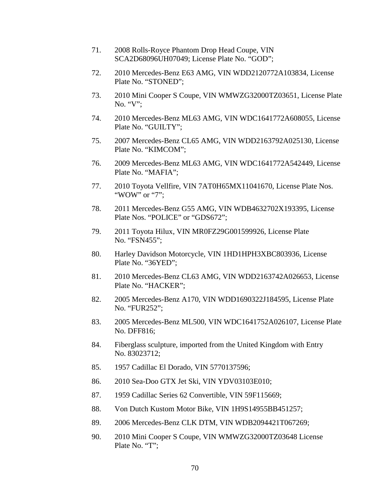- 71. 2008 Rolls-Royce Phantom Drop Head Coupe, VIN SCA2D68096UH07049; License Plate No. "GOD";
- 72. 2010 Mercedes-Benz E63 AMG, VIN WDD2120772A103834, License Plate No. "STONED";
- 73. 2010 Mini Cooper S Coupe, VIN WMWZG32000TZ03651, License Plate No. "V";
- 74. 2010 Mercedes-Benz ML63 AMG, VIN WDC1641772A608055, License Plate No. "GUILTY";
- 75. 2007 Mercedes-Benz CL65 AMG, VIN WDD2163792A025130, License Plate No. "KIMCOM";
- 76. 2009 Mercedes-Benz ML63 AMG, VIN WDC1641772A542449, License Plate No. "MAFIA";
- 77. 2010 Toyota Vellfire, VIN 7AT0H65MX11041670, License Plate Nos. "WOW" or "7":
- 78. 2011 Mercedes-Benz G55 AMG, VIN WDB4632702X193395, License Plate Nos. "POLICE" or "GDS672";
- 79. 2011 Toyota Hilux, VIN MR0FZ29G001599926, License Plate No. "FSN455";
- 80. Harley Davidson Motorcycle, VIN 1HD1HPH3XBC803936, License Plate No. "36YED";
- 81. 2010 Mercedes-Benz CL63 AMG, VIN WDD2163742A026653, License Plate No. "HACKER";
- 82. 2005 Mercedes-Benz A170, VIN WDD1690322J184595, License Plate No. "FUR252";
- 83. 2005 Mercedes-Benz ML500, VIN WDC1641752A026107, License Plate No. DFF816;
- 84. Fiberglass sculpture, imported from the United Kingdom with Entry No. 83023712;
- 85. 1957 Cadillac El Dorado, VIN 5770137596;
- 86. 2010 Sea-Doo GTX Jet Ski, VIN YDV03103E010;
- 87. 1959 Cadillac Series 62 Convertible, VIN 59F115669;
- 88. Von Dutch Kustom Motor Bike, VIN 1H9S14955BB451257;
- 89. 2006 Mercedes-Benz CLK DTM, VIN WDB2094421T067269;
- 90. 2010 Mini Cooper S Coupe, VIN WMWZG32000TZ03648 License Plate No. "T";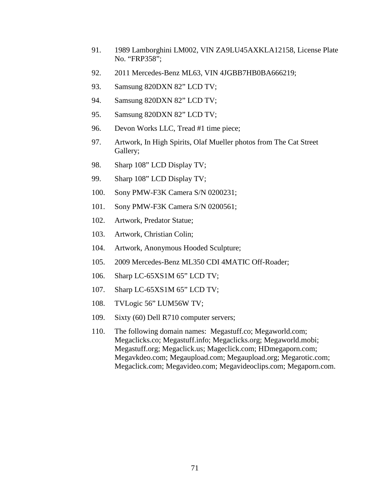- 91. 1989 Lamborghini LM002, VIN ZA9LU45AXKLA12158, License Plate No. "FRP358";
- 92. 2011 Mercedes-Benz ML63, VIN 4JGBB7HB0BA666219;
- 93. Samsung 820DXN 82" LCD TV;
- 94. Samsung 820DXN 82" LCD TV;
- 95. Samsung 820DXN 82" LCD TV;
- 96. Devon Works LLC, Tread #1 time piece;
- 97. Artwork, In High Spirits, Olaf Mueller photos from The Cat Street Gallery;
- 98. Sharp 108" LCD Display TV;
- 99. Sharp 108" LCD Display TV;
- 100. Sony PMW-F3K Camera S/N 0200231;
- 101. Sony PMW-F3K Camera S/N 0200561;
- 102. Artwork, Predator Statue;
- 103. Artwork, Christian Colin;
- 104. Artwork, Anonymous Hooded Sculpture;
- 105. 2009 Mercedes-Benz ML350 CDI 4MATIC Off-Roader;
- 106. Sharp LC-65XS1M 65" LCD TV;
- 107. Sharp LC-65XS1M 65" LCD TV;
- 108. TVLogic 56" LUM56W TV;
- 109. Sixty (60) Dell R710 computer servers;
- 110. The following domain names: Megastuff.co; Megaworld.com; Megaclicks.co; Megastuff.info; Megaclicks.org; Megaworld.mobi; Megastuff.org; Megaclick.us; Mageclick.com; HDmegaporn.com; Megavkdeo.com; Megaupload.com; Megaupload.org; Megarotic.com; Megaclick.com; Megavideo.com; Megavideoclips.com; Megaporn.com.